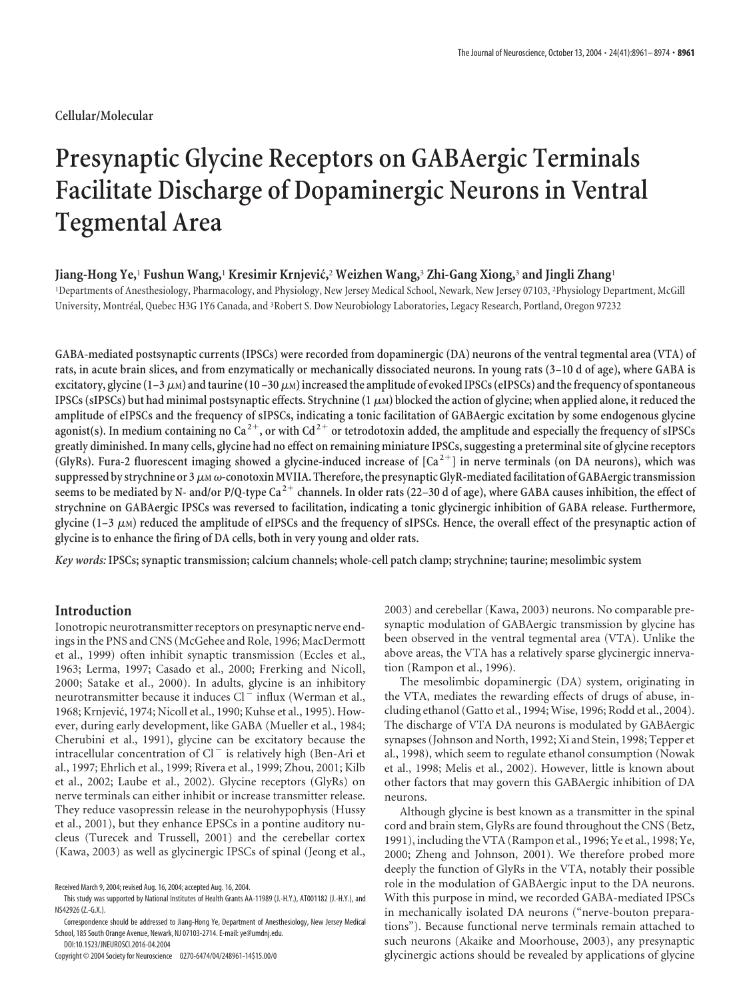# **Cellular/Molecular**

# **Presynaptic Glycine Receptors on GABAergic Terminals Facilitate Discharge of Dopaminergic Neurons in Ventral Tegmental Area**

### **Jiang-Hong Ye,**<sup>1</sup> **Fushun Wang,**<sup>1</sup> **Kresimir Krnjevic´,**<sup>2</sup> **Weizhen Wang,**<sup>3</sup> **Zhi-Gang Xiong,**<sup>3</sup> **and Jingli Zhang**<sup>1</sup>

1 Departments of Anesthesiology, Pharmacology, and Physiology, New Jersey Medical School, Newark, New Jersey 07103, <sup>2</sup> Physiology Department, McGill University, Montréal, Quebec H3G 1Y6 Canada, and <sup>3</sup>Robert S. Dow Neurobiology Laboratories, Legacy Research, Portland, Oregon 97232

**GABA-mediated postsynaptic currents (IPSCs) were recorded from dopaminergic (DA) neurons of the ventral tegmental area (VTA) of rats, in acute brain slices, and from enzymatically or mechanically dissociated neurons. In young rats (3–10 d of age), where GABA is** excitatory, glycine  $(1-3 \mu)$  and taurine  $(10-30 \mu)$  increased the amplitude of evoked IPSCs (eIPSCs) and the frequency of spontaneous **IPSCs (sIPSCs) but had minimal postsynaptic effects. Strychnine (1M) blocked the action of glycine; when applied alone, it reduced the amplitude of eIPSCs and the frequency of sIPSCs, indicating a tonic facilitation of GABAergic excitation by some endogenous glycine agonist(s). In medium containing no Ca <sup>2</sup>, or with Cd2 or tetrodotoxin added, the amplitude and especially the frequency of sIPSCs greatly diminished. In many cells, glycine had no effect on remaining miniature IPSCs, suggesting a preterminal site of glycine receptors (GlyRs). Fura-2 fluorescent imaging showed a glycine-induced increase of [Ca <sup>2</sup>] in nerve terminals (on DA neurons), which was** suppressed by strychnine or 3  $\mu$ м  $\omega$ -conotoxin MVIIA. Therefore, the presynaptic GlyR-mediated facilitation of GABAergic transmission **seems to be mediated by N- and/or P/Q-type Ca <sup>2</sup> channels. In older rats (22–30 d of age), where GABA causes inhibition, the effect of strychnine on GABAergic IPSCs was reversed to facilitation, indicating a tonic glycinergic inhibition of GABA release. Furthermore, glycine (1–3 M) reduced the amplitude of eIPSCs and the frequency of sIPSCs. Hence, the overall effect of the presynaptic action of glycine is to enhance the firing of DA cells, both in very young and older rats.**

*Key words:* **IPSCs; synaptic transmission; calcium channels; whole-cell patch clamp; strychnine; taurine; mesolimbic system**

# **Introduction**

Ionotropic neurotransmitter receptors on presynaptic nerve endings in the PNS and CNS (McGehee and Role, 1996; MacDermott et al., 1999) often inhibit synaptic transmission (Eccles et al., 1963; Lerma, 1997; Casado et al., 2000; Frerking and Nicoll, 2000; Satake et al., 2000). In adults, glycine is an inhibitory neurotransmitter because it induces Cl<sup>-</sup> influx (Werman et al., 1968; Krnjević, 1974; Nicoll et al., 1990; Kuhse et al., 1995). However, during early development, like GABA (Mueller et al., 1984; Cherubini et al., 1991), glycine can be excitatory because the intracellular concentration of  $Cl^-$  is relatively high (Ben-Ari et al., 1997; Ehrlich et al., 1999; Rivera et al., 1999; Zhou, 2001; Kilb et al., 2002; Laube et al., 2002). Glycine receptors (GlyRs) on nerve terminals can either inhibit or increase transmitter release. They reduce vasopressin release in the neurohypophysis (Hussy et al., 2001), but they enhance EPSCs in a pontine auditory nucleus (Turecek and Trussell, 2001) and the cerebellar cortex (Kawa, 2003) as well as glycinergic IPSCs of spinal (Jeong et al.,

2003) and cerebellar (Kawa, 2003) neurons. No comparable presynaptic modulation of GABAergic transmission by glycine has been observed in the ventral tegmental area (VTA). Unlike the above areas, the VTA has a relatively sparse glycinergic innervation (Rampon et al., 1996).

The mesolimbic dopaminergic (DA) system, originating in the VTA, mediates the rewarding effects of drugs of abuse, including ethanol (Gatto et al., 1994; Wise, 1996; Rodd et al., 2004). The discharge of VTA DA neurons is modulated by GABAergic synapses (Johnson and North, 1992; Xi and Stein, 1998; Tepper et al., 1998), which seem to regulate ethanol consumption (Nowak et al., 1998; Melis et al., 2002). However, little is known about other factors that may govern this GABAergic inhibition of DA neurons.

Although glycine is best known as a transmitter in the spinal cord and brain stem, GlyRs are found throughout the CNS (Betz, 1991), including the VTA (Rampon et al., 1996; Ye et al., 1998; Ye, 2000; Zheng and Johnson, 2001). We therefore probed more deeply the function of GlyRs in the VTA, notably their possible role in the modulation of GABAergic input to the DA neurons. With this purpose in mind, we recorded GABA-mediated IPSCs in mechanically isolated DA neurons ("nerve-bouton preparations"). Because functional nerve terminals remain attached to such neurons (Akaike and Moorhouse, 2003), any presynaptic glycinergic actions should be revealed by applications of glycine

Received March 9, 2004; revised Aug. 16, 2004; accepted Aug. 16, 2004.

This study was supported by National Institutes of Health Grants AA-11989 (J.-H.Y.), AT001182 (J.-H.Y.), and NS42926 (Z.-G.X.).

Correspondence should be addressed to Jiang-Hong Ye, Department of Anesthesiology, New Jersey Medical School, 185 South Orange Avenue, Newark, NJ 07103-2714. E-mail: ye@umdnj.edu.

DOI:10.1523/JNEUROSCI.2016-04.2004

Copyright © 2004 Society for Neuroscience 0270-6474/04/248961-14\$15.00/0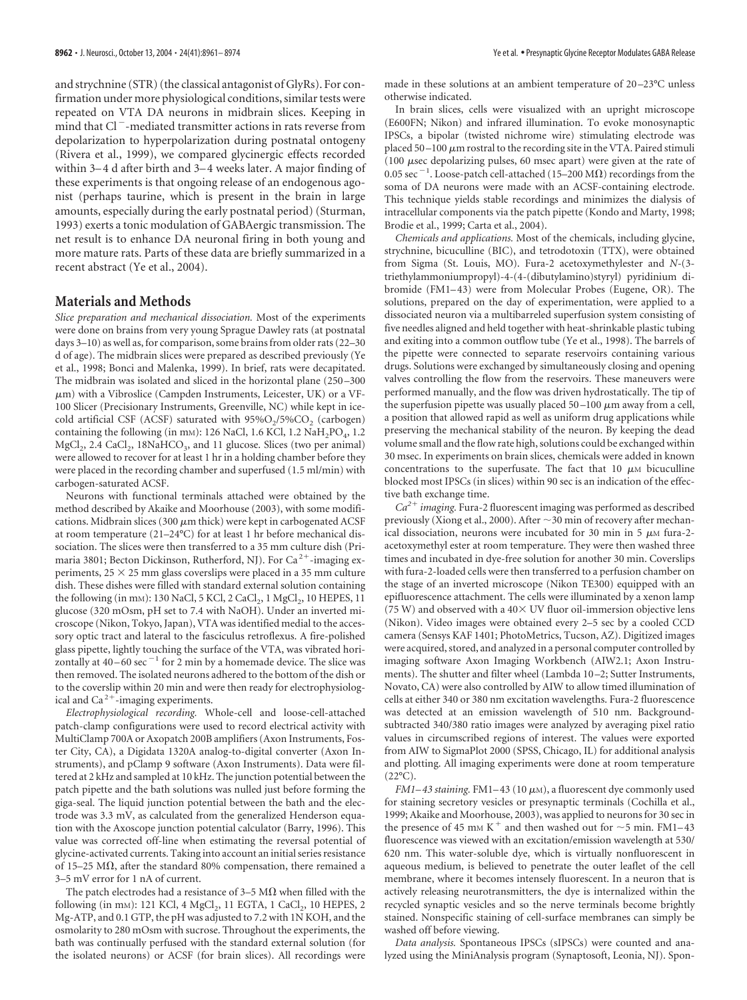and strychnine (STR) (the classical antagonist of GlyRs). For confirmation under more physiological conditions, similar tests were repeated on VTA DA neurons in midbrain slices. Keeping in mind that Cl<sup>-</sup>-mediated transmitter actions in rats reverse from depolarization to hyperpolarization during postnatal ontogeny (Rivera et al., 1999), we compared glycinergic effects recorded within 3–4 d after birth and 3–4 weeks later. A major finding of these experiments is that ongoing release of an endogenous agonist (perhaps taurine, which is present in the brain in large amounts, especially during the early postnatal period) (Sturman, 1993) exerts a tonic modulation of GABAergic transmission. The net result is to enhance DA neuronal firing in both young and more mature rats. Parts of these data are briefly summarized in a recent abstract (Ye et al., 2004).

# **Materials and Methods**

*Slice preparation and mechanical dissociation.* Most of the experiments were done on brains from very young Sprague Dawley rats (at postnatal days 3–10) as well as, for comparison, some brains from older rats (22–30 d of age). The midbrain slices were prepared as described previously (Ye et al., 1998; Bonci and Malenka, 1999). In brief, rats were decapitated. The midbrain was isolated and sliced in the horizontal plane (250 –300  $\mu$ m) with a Vibroslice (Campden Instruments, Leicester, UK) or a VF-100 Slicer (Precisionary Instruments, Greenville, NC) while kept in icecold artificial CSF (ACSF) saturated with  $95\%O<sub>2</sub>/5\%CO<sub>2</sub>$  (carbogen) containing the following (in mm): 126 NaCl, 1.6 KCl, 1.2 NaH<sub>2</sub>PO<sub>4</sub>, 1.2 MgCl<sub>2</sub>, 2.4 CaCl<sub>2</sub>, 18NaHCO<sub>3</sub>, and 11 glucose. Slices (two per animal) were allowed to recover for at least 1 hr in a holding chamber before they were placed in the recording chamber and superfused (1.5 ml/min) with carbogen-saturated ACSF.

Neurons with functional terminals attached were obtained by the method described by Akaike and Moorhouse (2003), with some modifications. Midbrain slices (300  $\mu$ m thick) were kept in carbogenated ACSF at room temperature (21–24°C) for at least 1 hr before mechanical dissociation. The slices were then transferred to a 35 mm culture dish (Primaria 3801; Becton Dickinson, Rutherford, NJ). For Ca<sup>2+</sup>-imaging experiments,  $25 \times 25$  mm glass coverslips were placed in a 35 mm culture dish. These dishes were filled with standard external solution containing the following (in mm): 130 NaCl, 5 KCl, 2 CaCl<sub>2</sub>, 1 MgCl<sub>2</sub>, 10 HEPES, 11 glucose (320 mOsm, pH set to 7.4 with NaOH). Under an inverted microscope (Nikon, Tokyo, Japan), VTA was identified medial to the accessory optic tract and lateral to the fasciculus retroflexus. A fire-polished glass pipette, lightly touching the surface of the VTA, was vibrated horizontally at  $40 - 60$  sec<sup> $-1$ </sup> for 2 min by a homemade device. The slice was then removed. The isolated neurons adhered to the bottom of the dish or to the coverslip within 20 min and were then ready for electrophysiological and  $Ca^{2+}$ -imaging experiments.

*Electrophysiological recording.* Whole-cell and loose-cell-attached patch-clamp configurations were used to record electrical activity with MultiClamp 700A or Axopatch 200B amplifiers (Axon Instruments, Foster City, CA), a Digidata 1320A analog-to-digital converter (Axon Instruments), and pClamp 9 software (Axon Instruments). Data were filtered at 2 kHz and sampled at 10 kHz. The junction potential between the patch pipette and the bath solutions was nulled just before forming the giga-seal. The liquid junction potential between the bath and the electrode was 3.3 mV, as calculated from the generalized Henderson equation with the Axoscope junction potential calculator (Barry, 1996). This value was corrected off-line when estimating the reversal potential of glycine-activated currents. Taking into account an initial series resistance of 15–25 M $\Omega$ , after the standard 80% compensation, there remained a 3–5 mV error for 1 nA of current.

The patch electrodes had a resistance of 3–5 M $\Omega$  when filled with the following (in mm): 121 KCl, 4 MgCl<sub>2</sub>, 11 EGTA, 1 CaCl<sub>2</sub>, 10 HEPES, 2 Mg-ATP, and 0.1 GTP, the pH was adjusted to 7.2 with 1N KOH, and the osmolarity to 280 mOsm with sucrose. Throughout the experiments, the bath was continually perfused with the standard external solution (for the isolated neurons) or ACSF (for brain slices). All recordings were

made in these solutions at an ambient temperature of 20 –23°C unless otherwise indicated.

In brain slices, cells were visualized with an upright microscope (E600FN; Nikon) and infrared illumination. To evoke monosynaptic IPSCs, a bipolar (twisted nichrome wire) stimulating electrode was placed  $50-100 \mu m$  rostral to the recording site in the VTA. Paired stimuli (100  $\mu$ sec depolarizing pulses, 60 msec apart) were given at the rate of 0.05 sec<sup>-1</sup>. Loose-patch cell-attached (15–200 M $\Omega$ ) recordings from the soma of DA neurons were made with an ACSF-containing electrode. This technique yields stable recordings and minimizes the dialysis of intracellular components via the patch pipette (Kondo and Marty, 1998; Brodie et al., 1999; Carta et al., 2004).

*Chemicals and applications.* Most of the chemicals, including glycine, strychnine, bicuculline (BIC), and tetrodotoxin (TTX), were obtained from Sigma (St. Louis, MO). Fura-2 acetoxymethylester and *N-*(3 triethylammoniumpropyl)-4-(4-(dibutylamino)styryl) pyridinium dibromide (FM1–43) were from Molecular Probes (Eugene, OR). The solutions, prepared on the day of experimentation, were applied to a dissociated neuron via a multibarreled superfusion system consisting of five needles aligned and held together with heat-shrinkable plastic tubing and exiting into a common outflow tube (Ye et al., 1998). The barrels of the pipette were connected to separate reservoirs containing various drugs. Solutions were exchanged by simultaneously closing and opening valves controlling the flow from the reservoirs. These maneuvers were performed manually, and the flow was driven hydrostatically. The tip of the superfusion pipette was usually placed  $50-100 \mu m$  away from a cell, a position that allowed rapid as well as uniform drug applications while preserving the mechanical stability of the neuron. By keeping the dead volume small and the flow rate high, solutions could be exchanged within 30 msec. In experiments on brain slices, chemicals were added in known concentrations to the superfusate. The fact that 10  $\mu$ M bicuculline blocked most IPSCs (in slices) within 90 sec is an indication of the effective bath exchange time.

 $Ca<sup>2+</sup> imaging$ . Fura-2 fluorescent imaging was performed as described previously (Xiong et al., 2000). After  $\sim$  30 min of recovery after mechanical dissociation, neurons were incubated for 30 min in 5  $\mu$ M fura-2acetoxymethyl ester at room temperature. They were then washed three times and incubated in dye-free solution for another 30 min. Coverslips with fura-2-loaded cells were then transferred to a perfusion chamber on the stage of an inverted microscope (Nikon TE300) equipped with an epifluorescence attachment. The cells were illuminated by a xenon lamp (75 W) and observed with a 40 $\times$  UV fluor oil-immersion objective lens (Nikon). Video images were obtained every 2–5 sec by a cooled CCD camera (Sensys KAF 1401; PhotoMetrics, Tucson, AZ). Digitized images were acquired, stored, and analyzed in a personal computer controlled by imaging software Axon Imaging Workbench (AIW2.1; Axon Instruments). The shutter and filter wheel (Lambda 10 –2; Sutter Instruments, Novato, CA) were also controlled by AIW to allow timed illumination of cells at either 340 or 380 nm excitation wavelengths. Fura-2 fluorescence was detected at an emission wavelength of 510 nm. Backgroundsubtracted 340/380 ratio images were analyzed by averaging pixel ratio values in circumscribed regions of interest. The values were exported from AIW to SigmaPlot 2000 (SPSS, Chicago, IL) for additional analysis and plotting. All imaging experiments were done at room temperature  $(22^{\circ}C).$ 

 $FM1-43$  staining. FM1-43 (10  $\mu$ M), a fluorescent dye commonly used for staining secretory vesicles or presynaptic terminals (Cochilla et al., 1999; Akaike and Moorhouse, 2003), was applied to neurons for 30 sec in the presence of 45 mm K<sup>+</sup> and then washed out for  $\sim$ 5 min. FM1–43 fluorescence was viewed with an excitation/emission wavelength at 530/ 620 nm. This water-soluble dye, which is virtually nonfluorescent in aqueous medium, is believed to penetrate the outer leaflet of the cell membrane, where it becomes intensely fluorescent. In a neuron that is actively releasing neurotransmitters, the dye is internalized within the recycled synaptic vesicles and so the nerve terminals become brightly stained. Nonspecific staining of cell-surface membranes can simply be washed off before viewing.

*Data analysis.* Spontaneous IPSCs (sIPSCs) were counted and analyzed using the MiniAnalysis program (Synaptosoft, Leonia, NJ). Spon-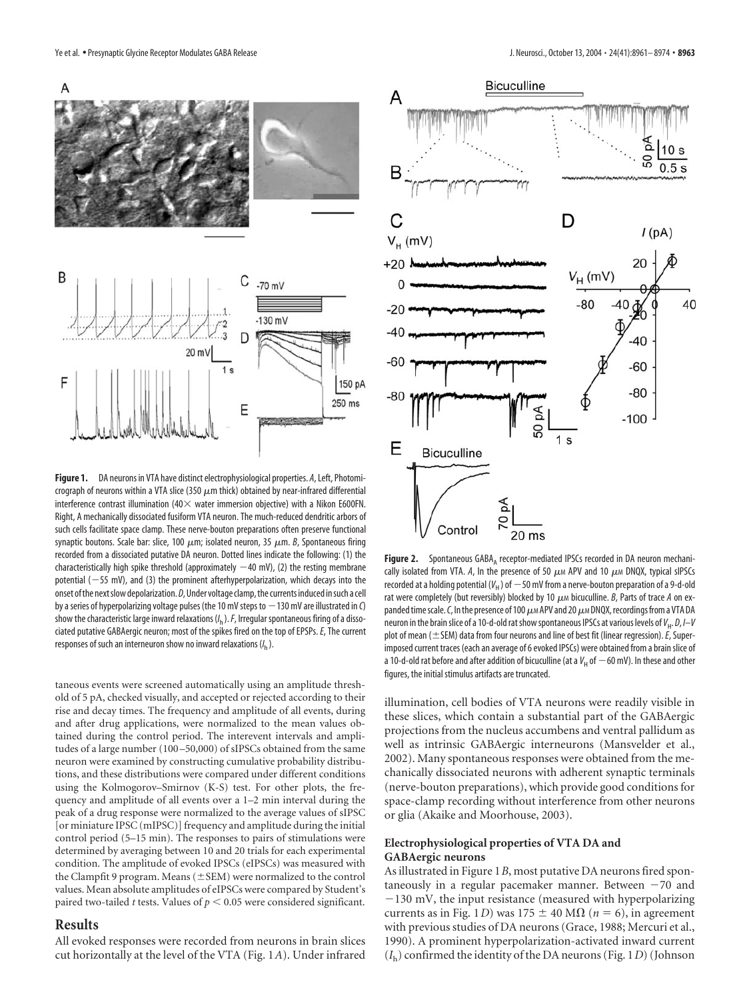

**Figure 1.** DA neurons in VTA have distinct electrophysiological properties. *A*, Left, Photomicrograph of neurons within a VTA slice (350  $\mu$ m thick) obtained by near-infrared differential interference contrast illumination (40 $\times$  water immersion objective) with a Nikon E600FN. Right, A mechanically dissociated fusiform VTA neuron. The much-reduced dendritic arbors of such cells facilitate space clamp. These nerve-bouton preparations often preserve functional synaptic boutons. Scale bar: slice, 100  $\mu$ m; isolated neuron, 35  $\mu$ m. *B*, Spontaneous firing recorded from a dissociated putative DA neuron. Dotted lines indicate the following: (1) the characteristically high spike threshold (approximately  $-40$  mV), (2) the resting membrane potential ( $-55$  mV), and (3) the prominent afterhyperpolarization, which decays into the onset of the next slow depolarization. *D*, Under voltage clamp, the currents induced in such a cell by a series of hyperpolarizing voltage pulses (the 10 mV steps to  $-$  130 mV are illustrated in *C*) show the characteristic large inward relaxations (/<sub>n</sub> ). *F*, Irregular spontaneous firing of a dissociated putative GABAergic neuron; most of the spikes fired on the top of EPSPs. *E*, The current responses of such an interneuron show no inward relaxations (*I* h ).

taneous events were screened automatically using an amplitude threshold of 5 pA, checked visually, and accepted or rejected according to their rise and decay times. The frequency and amplitude of all events, during and after drug applications, were normalized to the mean values obtained during the control period. The interevent intervals and amplitudes of a large number (100 –50,000) of sIPSCs obtained from the same neuron were examined by constructing cumulative probability distributions, and these distributions were compared under different conditions using the Kolmogorov–Smirnov (K-S) test. For other plots, the frequency and amplitude of all events over a 1–2 min interval during the peak of a drug response were normalized to the average values of sIPSC [or miniature IPSC (mIPSC)] frequency and amplitude during the initial control period (5–15 min). The responses to pairs of stimulations were determined by averaging between 10 and 20 trials for each experimental condition. The amplitude of evoked IPSCs (eIPSCs) was measured with the Clampfit 9 program. Means  $(\pm$  SEM) were normalized to the control values. Mean absolute amplitudes of eIPSCs were compared by Student's paired two-tailed *t* tests. Values of  $p < 0.05$  were considered significant.

## **Results**

All evoked responses were recorded from neurons in brain slices cut horizontally at the level of the VTA (Fig. 1*A*). Under infrared



**Figure 2.** Spontaneous GABA, receptor-mediated IPSCs recorded in DA neuron mechanically isolated from VTA. A, In the presence of 50  $\mu$ M APV and 10  $\mu$ M DNQX, typical sIPSCs recorded at a holding potential (V<sub>H</sub> ) of  $-$  50 mV from a nerve-bouton preparation of a 9-d-old rat were completely (but reversibly) blocked by 10  $\mu$ M bicuculline. *B*, Parts of trace *A* on expanded time scale. C, In the presence of 100  $\mu$ <sub>M</sub> APV and 20  $\mu$ M DNQX, recordings from a VTA DA neuron in the brain slice of a 10-d-old rat show spontaneous IPSCs at various levels of *V*<sub>H</sub>. *D*, *I–V* plot of mean ( $\pm$  SEM) data from four neurons and line of best fit (linear regression).  $E$ , Superimposed current traces (each an average of 6 evoked IPSCs) were obtained from a brain slice of a 10-d-old rat before and after addition of bicuculline (at a  $V_{\rm H}$  of  $-$  60 mV). In these and other figures, the initial stimulus artifacts are truncated.

illumination, cell bodies of VTA neurons were readily visible in these slices, which contain a substantial part of the GABAergic projections from the nucleus accumbens and ventral pallidum as well as intrinsic GABAergic interneurons (Mansvelder et al., 2002). Many spontaneous responses were obtained from the mechanically dissociated neurons with adherent synaptic terminals (nerve-bouton preparations), which provide good conditions for space-clamp recording without interference from other neurons or glia (Akaike and Moorhouse, 2003).

## **Electrophysiological properties of VTA DA and GABAergic neurons**

As illustrated in Figure 1*B*, most putative DA neurons fired spontaneously in a regular pacemaker manner. Between -70 and -130 mV, the input resistance (measured with hyperpolarizing currents as in Fig. 1*D*) was 175  $\pm$  40 M $\Omega$  ( $n = 6$ ), in agreement with previous studies of DA neurons (Grace, 1988; Mercuri et al., 1990). A prominent hyperpolarization-activated inward current (*I*h) confirmed the identity of the DA neurons (Fig. 1*D*) (Johnson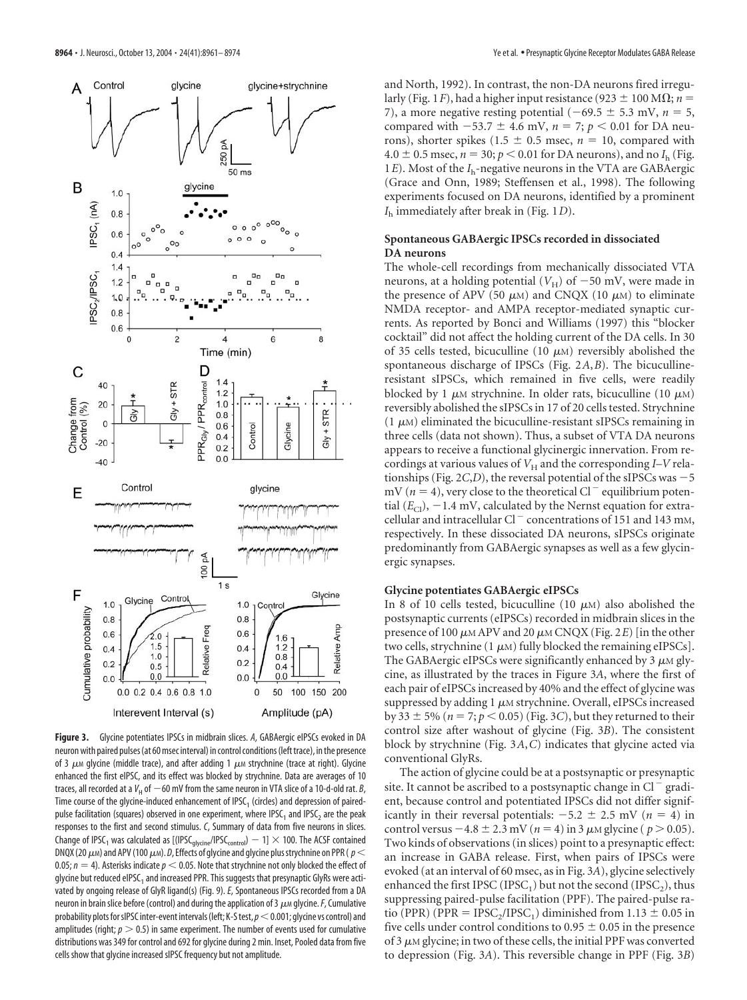

**Figure 3.** Glycine potentiates IPSCs in midbrain slices. *A*, GABAergic eIPSCs evoked in DA neuron with paired pulses (at 60 msec interval) in control conditions (left trace), in the presence of 3  $\mu$ M glycine (middle trace), and after adding 1  $\mu$ M strychnine (trace at right). Glycine enhanced the first eIPSC, and its effect was blocked by strychnine. Data are averages of 10 traces, all recorded at a V<sub>H</sub> of  $-$ 60 mV from the same neuron in VTA slice of a 10-d-old rat. *B*, Time course of the glycine-induced enhancement of IPSC<sub>1</sub> (circles) and depression of pairedpulse facilitation (squares) observed in one experiment, where IPSC<sub>1</sub> and IPSC<sub>2</sub> are the peak responses to the first and second stimulus. *C*, Summary of data from five neurons in slices. Change of IPSC<sub>1</sub> was calculated as [(IPSC<sub>glycine</sub>/IPSC<sub>control</sub>)  $-$  1]  $\times$  100. The ACSF contained DNQX (20  $\mu$ <sub>M</sub>) and APV (100  $\mu$ M). *D*, Effects of glycine and glycine plus strychnine on PPR (  $p$  < 0.05;  $n = 4$ ). Asterisks indicate  $p < 0.05$ . Note that strychnine not only blocked the effect of glycine but reduced eIPSC<sub>1</sub> and increased PPR. This suggests that presynaptic GlyRs were activated by ongoing release of GlyR ligand(s) (Fig. 9). *E*, Spontaneous IPSCs recorded from a DA neuron in brain slice before (control) and during the application of 3  $\mu$ M glycine. *F*, Cumulative probability plots for sIPSC inter-event intervals (left; K-S test,  $p<0.001$ ; glycine vs control) and amplitudes (right;  $p > 0.5$ ) in same experiment. The number of events used for cumulative distributions was 349 for control and 692 for glycine during 2 min. Inset, Pooled data from five cells show that glycine increased sIPSC frequency but not amplitude.

and North, 1992). In contrast, the non-DA neurons fired irregularly (Fig. 1*F*), had a higher input resistance (923  $\pm$  100 M $\Omega$ ; *n* = 7), a more negative resting potential  $(-69.5 \pm 5.3 \text{ mV}, n = 5,$ compared with  $-53.7 \pm 4.6$  mV,  $n = 7$ ;  $p < 0.01$  for DA neurons), shorter spikes (1.5  $\pm$  0.5 msec, *n* = 10, compared with  $4.0 \pm 0.5$  msec,  $n = 30$ ;  $p < 0.01$  for DA neurons), and no  $I<sub>h</sub>$  (Fig. 1*E*). Most of the *I*h-negative neurons in the VTA are GABAergic (Grace and Onn, 1989; Steffensen et al., 1998). The following experiments focused on DA neurons, identified by a prominent *I*<sup>h</sup> immediately after break in (Fig. 1*D*).

## **Spontaneous GABAergic IPSCs recorded in dissociated DA neurons**

The whole-cell recordings from mechanically dissociated VTA neurons, at a holding potential  $(V_H)$  of  $-50$  mV, were made in the presence of APV (50  $\mu$ M) and CNQX (10  $\mu$ M) to eliminate NMDA receptor- and AMPA receptor-mediated synaptic currents. As reported by Bonci and Williams (1997) this "blocker cocktail" did not affect the holding current of the DA cells. In 30 of 35 cells tested, bicuculline (10  $\mu$ M) reversibly abolished the spontaneous discharge of IPSCs (Fig. 2*A*,*B*). The bicucullineresistant sIPSCs, which remained in five cells, were readily blocked by 1  $\mu$ M strychnine. In older rats, bicuculline (10  $\mu$ M) reversibly abolished the sIPSCs in 17 of 20 cells tested. Strychnine  $(1 \mu)$  eliminated the bicuculline-resistant sIPSCs remaining in three cells (data not shown). Thus, a subset of VTA DA neurons appears to receive a functional glycinergic innervation. From recordings at various values of  $V_H$  and the corresponding *I*–*V* relationships (Fig.  $2C,D$ ), the reversal potential of the sIPSCs was  $-5$ mV ( $n = 4$ ), very close to the theoretical Cl<sup>-</sup> equilibrium potential  $(E_{\mathrm{Cl}})$ ,  $-1.4$  mV, calculated by the Nernst equation for extracellular and intracellular Cl<sup> $-$ </sup> concentrations of 151 and 143 mm, respectively. In these dissociated DA neurons, sIPSCs originate predominantly from GABAergic synapses as well as a few glycinergic synapses.

## **Glycine potentiates GABAergic eIPSCs**

In 8 of 10 cells tested, bicuculline (10  $\mu$ M) also abolished the postsynaptic currents (eIPSCs) recorded in midbrain slices in the presence of 100  $\mu$ M APV and 20  $\mu$ M CNQX (Fig. 2*E*) [in the other two cells, strychnine  $(1 \mu M)$  fully blocked the remaining eIPSCs]. The GABAergic eIPSCs were significantly enhanced by  $3 \mu$ M glycine, as illustrated by the traces in Figure 3*A*, where the first of each pair of eIPSCs increased by 40% and the effect of glycine was suppressed by adding 1  $\mu$ M strychnine. Overall, eIPSCs increased by 33  $\pm$  5% ( $n = 7; p < 0.05$ ) (Fig. 3*C*), but they returned to their control size after washout of glycine (Fig. 3*B*). The consistent block by strychnine (Fig. 3*A*,*C*) indicates that glycine acted via conventional GlyRs.

The action of glycine could be at a postsynaptic or presynaptic site. It cannot be ascribed to a postsynaptic change in  $Cl^{-}$  gradient, because control and potentiated IPSCs did not differ significantly in their reversal potentials:  $-5.2 \pm 2.5$  mV ( $n = 4$ ) in control versus  $-4.8 \pm 2.3$  mV ( $n = 4$ ) in 3  $\mu$ M glycine ( $p > 0.05$ ). Two kinds of observations (in slices) point to a presynaptic effect: an increase in GABA release. First, when pairs of IPSCs were evoked (at an interval of 60 msec, as in Fig. 3*A*), glycine selectively enhanced the first IPSC (IPSC<sub>1</sub>) but not the second (IPSC<sub>2</sub>), thus suppressing paired-pulse facilitation (PPF). The paired-pulse ratio (PPR) (PPR = IPSC<sub>2</sub>/IPSC<sub>1</sub>) diminished from 1.13  $\pm$  0.05 in five cells under control conditions to  $0.95 \pm 0.05$  in the presence of 3  $\mu$ M glycine; in two of these cells, the initial PPF was converted to depression (Fig. 3*A*). This reversible change in PPF (Fig. 3*B*)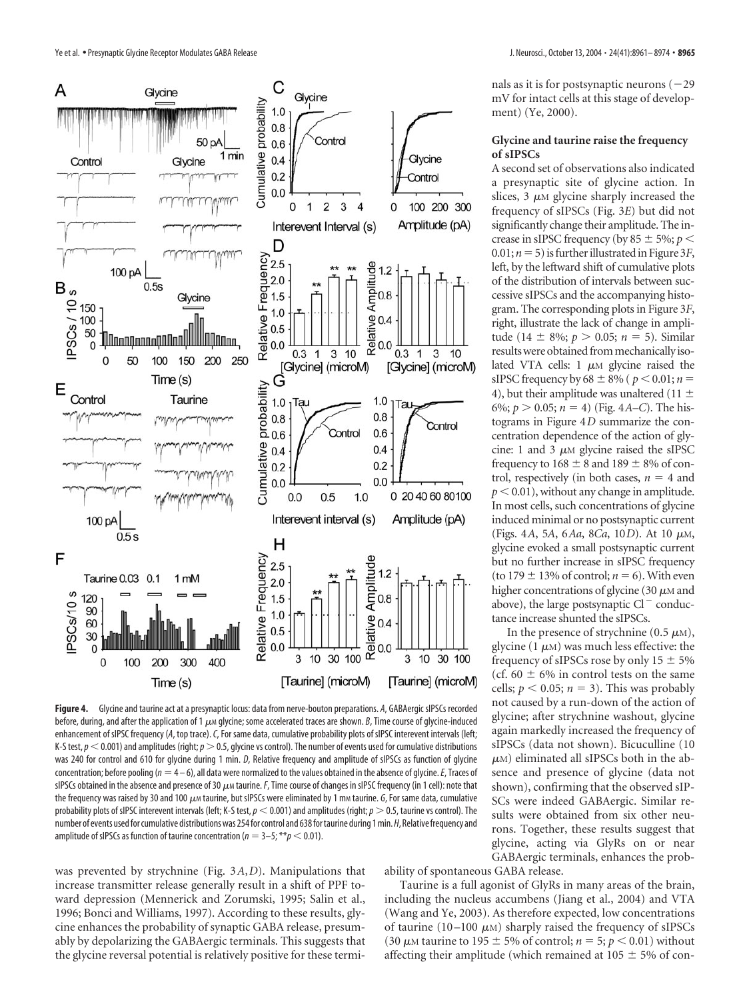

**Figure 4.** Glycine and taurine act at a presynaptic locus: data from nerve-bouton preparations. *A*, GABAergic sIPSCs recorded before, during, and after the application of 1  $\mu$ *m* glycine; some accelerated traces are shown. *B*, Time course of glycine-induced enhancement of sIPSC frequency (*A*, top trace).*C*, For same data, cumulative probability plots of sIPSC interevent intervals (left; K-S test,  $p$   $\leq$  0.001) and amplitudes (right;  $p$   $>$  0.5, glycine vs control). The number of events used for cumulative distributions was 240 for control and 610 for glycine during 1 min. *D*, Relative frequency and amplitude of sIPSCs as function of glycine concentration; before pooling (*n* 4 – 6), all data were normalized to the values obtained in the absence of glycine.*E*, Traces of sIPSCs obtained in the absence and presence of 30  $\mu$ *M* taurine. F, Time course of changes in sIPSC frequency (in 1 cell): note that the frequency was raised by 30 and 100  $\mu$  taurine, but sIPSCs were eliminated by 1 mm taurine.  $G$ , For same data, cumulative probability plots of sIPSC interevent intervals (left; K-S test,  $p$  < 0.001) and amplitudes (right;  $p$  > 0.5, taurine vs control). The number of events used for cumulative distributions was 254 for control and 638 for taurine during 1 min. H, Relative frequency and amplitude of sIPSCs as function of taurine concentration ( $n = 3-5$ ; \*\* $p < 0.01$ ).

was prevented by strychnine (Fig. 3*A*,*D*). Manipulations that increase transmitter release generally result in a shift of PPF toward depression (Mennerick and Zorumski, 1995; Salin et al., 1996; Bonci and Williams, 1997). According to these results, glycine enhances the probability of synaptic GABA release, presumably by depolarizing the GABAergic terminals. This suggests that the glycine reversal potential is relatively positive for these termi-

nals as it is for postsynaptic neurons  $(-29)$ mV for intact cells at this stage of development) (Ye, 2000).

## **Glycine and taurine raise the frequency of sIPSCs**

A second set of observations also indicated a presynaptic site of glycine action. In slices,  $3 \mu M$  glycine sharply increased the frequency of sIPSCs (Fig. 3*E*) but did not significantly change their amplitude. The increase in sIPSC frequency (by  $85 \pm 5\%$ ;  $p <$ 0.01;  $n = 5$ ) is further illustrated in Figure 3*F*, left, by the leftward shift of cumulative plots of the distribution of intervals between successive sIPSCs and the accompanying histogram. The corresponding plots in Figure 3*F*, right, illustrate the lack of change in amplitude (14  $\pm$  8%; *p* > 0.05; *n* = 5). Similar results were obtained from mechanically isolated VTA cells:  $1 \mu M$  glycine raised the sIPSC frequency by  $68 \pm 8\%$  ( $p < 0.01; n =$ 4), but their amplitude was unaltered (11  $\pm$ 6%;  $p > 0.05$ ;  $n = 4$ ) (Fig. 4*A–C*). The histograms in Figure 4*D* summarize the concentration dependence of the action of glycine: 1 and 3  $\mu$ M glycine raised the sIPSC frequency to  $168 \pm 8$  and  $189 \pm 8\%$  of control, respectively (in both cases,  $n = 4$  and  $p < 0.01$ ), without any change in amplitude. In most cells, such concentrations of glycine induced minimal or no postsynaptic current (Figs. 4*A*, 5*A*, 6*Aa*, 8*Ca*, 10*D*). At 10 μ<sub>M</sub>, glycine evoked a small postsynaptic current but no further increase in sIPSC frequency (to  $179 \pm 13\%$  of control;  $n = 6$ ). With even higher concentrations of glycine (30  $\mu$ M and above), the large postsynaptic  $Cl^-$  conductance increase shunted the sIPSCs.

In the presence of strychnine (0.5  $\mu$ M), glycine (1 $\mu$ M) was much less effective: the frequency of sIPSCs rose by only  $15 \pm 5\%$ (cf.  $60 \pm 6\%$  in control tests on the same cells;  $p < 0.05$ ;  $n = 3$ ). This was probably not caused by a run-down of the action of glycine; after strychnine washout, glycine again markedly increased the frequency of sIPSCs (data not shown). Bicuculline (10  $\mu$ <sub>M</sub>) eliminated all sIPSCs both in the absence and presence of glycine (data not shown), confirming that the observed sIP-SCs were indeed GABAergic. Similar results were obtained from six other neurons. Together, these results suggest that glycine, acting via GlyRs on or near GABAergic terminals, enhances the prob-

ability of spontaneous GABA release.

Taurine is a full agonist of GlyRs in many areas of the brain, including the nucleus accumbens (Jiang et al., 2004) and VTA (Wang and Ye, 2003). As therefore expected, low concentrations of taurine (10–100  $\mu$ M) sharply raised the frequency of sIPSCs (30  $\mu$ M taurine to 195  $\pm$  5% of control;  $n = 5$ ;  $p < 0.01$ ) without affecting their amplitude (which remained at 105  $\pm$  5% of con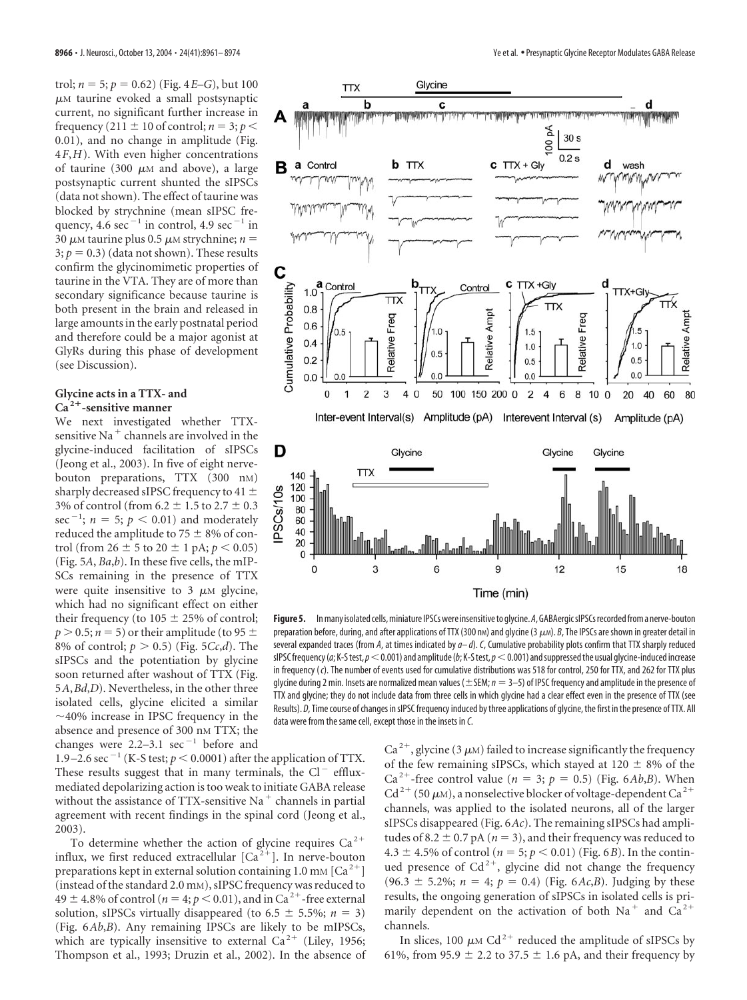trol;  $n = 5$ ;  $p = 0.62$ ) (Fig. 4*E*–*G*), but 100  $\mu$ M taurine evoked a small postsynaptic current, no significant further increase in frequency (211  $\pm$  10 of control; *n* = 3; *p* < 0.01), and no change in amplitude (Fig. 4*F*,*H*). With even higher concentrations of taurine (300  $\mu$ M and above), a large postsynaptic current shunted the sIPSCs (data not shown). The effect of taurine was blocked by strychnine (mean sIPSC frequency,  $4.6 \text{ sec}^{-1}$  in control,  $4.9 \text{ sec}^{-1}$  in  $30 \mu M$  taurine plus 0.5  $\mu$ M strychnine; *n* =  $3; p = 0.3$  (data not shown). These results confirm the glycinomimetic properties of taurine in the VTA. They are of more than secondary significance because taurine is both present in the brain and released in large amounts in the early postnatal period and therefore could be a major agonist at GlyRs during this phase of development (see Discussion).

### **Glycine acts in a TTX- and Ca <sup>2</sup>-sensitive manner**

We next investigated whether TTXsensitive Na<sup> $+$ </sup> channels are involved in the glycine-induced facilitation of sIPSCs (Jeong et al., 2003). In five of eight nervebouton preparations, TTX (300 nM) sharply decreased sIPSC frequency to 41  $\pm$ 3% of control (from 6.2  $\pm$  1.5 to 2.7  $\pm$  0.3 sec<sup>-1</sup>;  $n = 5$ ;  $p < 0.01$ ) and moderately reduced the amplitude to 75  $\pm$  8% of control (from  $26 \pm 5$  to  $20 \pm 1$  pA;  $p < 0.05$ ) (Fig. 5*A*, *Ba*,*b*). In these five cells, the mIP-SCs remaining in the presence of TTX were quite insensitive to  $3 \mu M$  glycine, which had no significant effect on either their frequency (to  $105 \pm 25\%$  of control;  $p > 0.5; n = 5$ ) or their amplitude (to 95  $\pm$ 8% of control;  $p > 0.5$ ) (Fig. 5*Cc*,*d*). The sIPSCs and the potentiation by glycine soon returned after washout of TTX (Fig. 5*A*,*Bd*,*D*). Nevertheless, in the other three isolated cells, glycine elicited a similar  $\sim$ 40% increase in IPSC frequency in the absence and presence of 300 nm TTX; the changes were  $2.2-3.1$  sec<sup>-1</sup> before and

1.9 – 2.6 sec<sup>-1</sup> (K-S test;  $p < 0.0001$ ) after the application of TTX. These results suggest that in many terminals, the  $Cl^-$  effluxmediated depolarizing action is too weak to initiate GABA release without the assistance of TTX-sensitive Na $^+$  channels in partial agreement with recent findings in the spinal cord (Jeong et al., 2003).

To determine whether the action of glycine requires  $Ca^{2+}$ influx, we first reduced extracellular  $[Ca^{2+}]$ . In nerve-bouton preparations kept in external solution containing 1.0 mm  $\lbrack Ca^{2+}\rbrack$ (instead of the standard 2.0 mM), sIPSC frequency was reduced to  $49 \pm 4.8\%$  of control ( $n = 4$ ;  $p < 0.01$ ), and in Ca<sup>2+</sup>-free external solution, sIPSCs virtually disappeared (to  $6.5 \pm 5.5\%$ ;  $n = 3$ ) (Fig. 6*Ab*,*B*). Any remaining IPSCs are likely to be mIPSCs, which are typically insensitive to external  $Ca^{2+}$  (Liley, 1956; Thompson et al., 1993; Druzin et al., 2002). In the absence of



**Figure5.** Inmany isolated cells,miniature IPSCswere insensitiveto glycine.*A*,GABAergicsIPSCsrecordedfrom a nerve-bouton preparation before, during, and after applications of TTX (300 nm) and glycine (3  $\mu$ m). *B*, The IPSCs are shown in greater detail in several expanded traces (from *A*, at times indicated by *a– d*). *C*, Cumulative probability plots confirm that TTX sharply reduced sIPSC frequency (*a*; K-S test,  $p < 0.001$ ) and amplitude (*b*; K-S test,  $p < 0.001$ ) and suppressed the usual glycine-induced increase in frequency (*c*). The number of events used for cumulative distributions was 518 for control, 250 for TTX, and 262 for TTX plus glycine during 2 min. Insets are normalized mean values ( $\pm$  SEM;  $n = 3$ –5) of IPSC frequency and amplitude in the presence of TTX and glycine; they do not include data from three cells in which glycine had a clear effect even in the presence of TTX (see Results). *D*, Time course of changes in sIPSC frequency induced by three applications of glycine, the first in the presence of TTX. All

data were from the same cell, except those in the insets in *C*.

Ca<sup>2+</sup>, glycine (3  $\mu$ M) failed to increase significantly the frequency of the few remaining sIPSCs, which stayed at 120  $\pm$  8% of the Ca<sup>2+</sup>-free control value ( $n = 3$ ;  $p = 0.5$ ) (Fig. 6*Ab*,*B*). When  $Cd^{2+}$  (50  $\mu$ M), a nonselective blocker of voltage-dependent Ca<sup>2+</sup> channels, was applied to the isolated neurons, all of the larger sIPSCs disappeared (Fig. 6*Ac*). The remaining sIPSCs had amplitudes of 8.2  $\pm$  0.7 pA ( $n = 3$ ), and their frequency was reduced to 4.3  $\pm$  4.5% of control (*n* = 5; *p* < 0.01) (Fig. 6*B*). In the continued presence of  $Cd^{2+}$ , glycine did not change the frequency  $(96.3 \pm 5.2\%; n = 4; p = 0.4)$  (Fig. 6*Ac*,*B*). Judging by these results, the ongoing generation of sIPSCs in isolated cells is primarily dependent on the activation of both  $Na<sup>+</sup>$  and  $Ca<sup>2+</sup>$ channels.

In slices, 100  $\mu$ M Cd<sup>2+</sup> reduced the amplitude of sIPSCs by 61%, from 95.9  $\pm$  2.2 to 37.5  $\pm$  1.6 pA, and their frequency by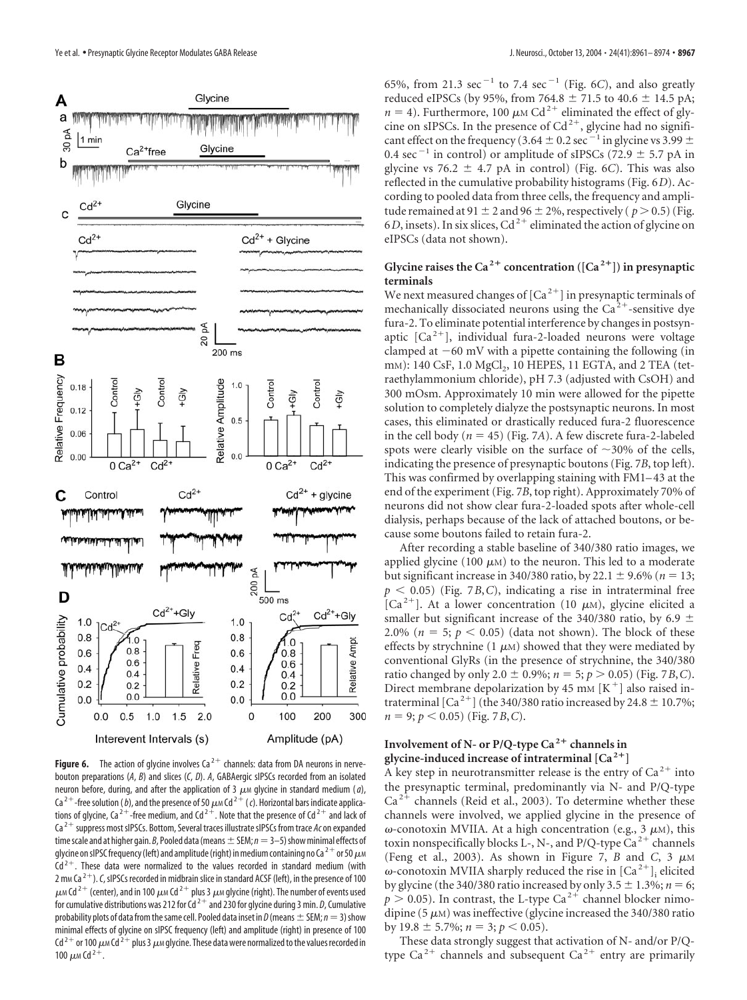

**Figure 6.** The action of glycine involves  $Ca^{2+}$  channels: data from DA neurons in nervebouton preparations (*A*, *B*) and slices (*C*, *D*). *A*, GABAergic sIPSCs recorded from an isolated neuron before, during, and after the application of 3  $\mu$  glycine in standard medium (*a*), Ca<sup>2+</sup>-free solution (*b*), and the presence of 50  $\mu$ <sub>M</sub> Cd<sup>2+</sup> (*c*). Horizontal bars indicate applications of glycine, Ca<sup>2+</sup>-free medium, and Cd<sup>2+</sup>. Note that the presence of Cd<sup>2+</sup> and lack of Ca<sup>2+</sup> suppress most sIPSCs. Bottom, Several traces illustrate sIPSCs from trace Ac on expanded time scale and at higher gain. *B*, Pooled data (means  $\pm$  SEM;  $n=3-5$ ) show minimal effects of glycine on sIPSC frequency (left) and amplitude (right) in medium containing no Ca<sup>2+</sup> or 50  $\mu$ M  $Cd<sup>2+</sup>$ . These data were normalized to the values recorded in standard medium (with 2 m<sub>M</sub> Ca<sup>2+</sup>). *C*, sIPSCs recorded in midbrain slice in standard ACSF (left), in the presence of 100  $\mu$  M Cd<sup>2+</sup> (center), and in 100  $\mu$  M Cd<sup>2+</sup> plus 3  $\mu$  M glycine (right). The number of events used for cumulative distributions was 212 for  $Cd^{2+}$  and 230 for glycine during 3 min. *D*, Cumulative probability plots of data from the same cell. Pooled data inset in *D* (means  $\pm$  SEM; *n* = 3) show minimal effects of glycine on sIPSC frequency (left) and amplitude (right) in presence of 100 Cd<sup>2+</sup> or 100  $\mu$  M Cd<sup>2+</sup> plus 3  $\mu$  M glycine. These data were normalized to the values recorded in 100  $\mu$ m Cd<sup>2+</sup>.

65%, from 21.3  $\sec^{-1}$  to 7.4  $\sec^{-1}$  (Fig. 6*C*), and also greatly reduced eIPSCs (by 95%, from 764.8  $\pm$  71.5 to 40.6  $\pm$  14.5 pA;  $n = 4$ ). Furthermore, 100  $\mu$ M Cd<sup>2+</sup> eliminated the effect of glycine on sIPSCs. In the presence of  $Cd^{2+}$ , glycine had no significant effect on the frequency (3.64  $\pm$  0.2 sec<sup>-1</sup> in glycine vs 3.99  $\pm$ 0.4 sec<sup>-1</sup> in control) or amplitude of sIPSCs (72.9  $\pm$  5.7 pA in glycine vs 76.2  $\pm$  4.7 pA in control) (Fig. 6*C*). This was also reflected in the cumulative probability histograms (Fig. 6*D*). According to pooled data from three cells, the frequency and amplitude remained at 91  $\pm$  2 and 96  $\pm$  2%, respectively ( $p > 0.5$ ) (Fig. 6*D*, insets). In six slices,  $Cd^{2+}$  eliminated the action of glycine on eIPSCs (data not shown).

# Glycine raises the Ca<sup>2+</sup> concentration ( $[Ca<sup>2+</sup>]$ ) in presynaptic **terminals**

We next measured changes of  $[Ca^{2+}]$  in presynaptic terminals of mechanically dissociated neurons using the  $Ca<sup>2+</sup>$ -sensitive dye fura-2. To eliminate potential interference by changes in postsynaptic  $[Ca^{2+}]$ , individual fura-2-loaded neurons were voltage clamped at  $-60$  mV with a pipette containing the following (in mm): 140 CsF, 1.0 MgCl<sub>2</sub>, 10 HEPES, 11 EGTA, and 2 TEA (tetraethylammonium chloride), pH 7.3 (adjusted with CsOH) and 300 mOsm. Approximately 10 min were allowed for the pipette solution to completely dialyze the postsynaptic neurons. In most cases, this eliminated or drastically reduced fura-2 fluorescence in the cell body ( $n = 45$ ) (Fig. 7*A*). A few discrete fura-2-labeled spots were clearly visible on the surface of  $\sim$ 30% of the cells, indicating the presence of presynaptic boutons (Fig. 7*B*, top left). This was confirmed by overlapping staining with FM1–43 at the end of the experiment (Fig. 7*B*, top right). Approximately 70% of neurons did not show clear fura-2-loaded spots after whole-cell dialysis, perhaps because of the lack of attached boutons, or because some boutons failed to retain fura-2.

After recording a stable baseline of 340/380 ratio images, we applied glycine (100  $\mu$ M) to the neuron. This led to a moderate but significant increase in 340/380 ratio, by 22.1  $\pm$  9.6% (*n* = 13;  $p < 0.05$ ) (Fig. 7*B*,*C*), indicating a rise in intraterminal free  $[Ca<sup>2+</sup>]$ . At a lower concentration (10  $\mu$ M), glycine elicited a smaller but significant increase of the 340/380 ratio, by 6.9  $\pm$ 2.0% ( $n = 5$ ;  $p < 0.05$ ) (data not shown). The block of these effects by strychnine (1  $\mu$ M) showed that they were mediated by conventional GlyRs (in the presence of strychnine, the 340/380 ratio changed by only 2.0  $\pm$  0.9%;  $n = 5$ ;  $p > 0.05$ ) (Fig. 7*B*,*C*). Direct membrane depolarization by 45 mm  $[K^+]$  also raised intraterminal  $\lceil Ca^{2+} \rceil$  (the 340/380 ratio increased by 24.8  $\pm$  10.7%;  $n = 9$ ;  $p < 0.05$ ) (Fig. 7*B*, *C*).

# **Involvement of N- or P/Q-type Ca<sup>2+</sup> channels in glycine-induced increase of intraterminal [Ca <sup>2</sup>]**

A key step in neurotransmitter release is the entry of  $Ca^{2+}$  into the presynaptic terminal, predominantly via N- and P/Q-type  $Ca^{2+}$  channels (Reid et al., 2003). To determine whether these channels were involved, we applied glycine in the presence of ω-conotoxin MVIIA. At a high concentration (e.g., 3  $\mu$ M), this toxin nonspecifically blocks L-, N-, and P/Q-type  $Ca^{2+}$  channels (Feng et al., 2003). As shown in Figure 7,  $B$  and  $C$ ,  $3 \mu M$  $\omega$ -conotoxin MVIIA sharply reduced the rise in  $\left[{\rm Ca}^{2+}\right]_i$  elicited by glycine (the 340/380 ratio increased by only  $3.5 \pm 1.3\%$ ;  $n = 6$ ;  $p > 0.05$ ). In contrast, the L-type Ca<sup>2+</sup> channel blocker nimodipine (5  $\mu$ M) was ineffective (glycine increased the 340/380 ratio by 19.8  $\pm$  5.7%; *n* = 3; *p* < 0.05).

These data strongly suggest that activation of N- and/or P/Qtype  $Ca^{2+}$  channels and subsequent  $Ca^{2+}$  entry are primarily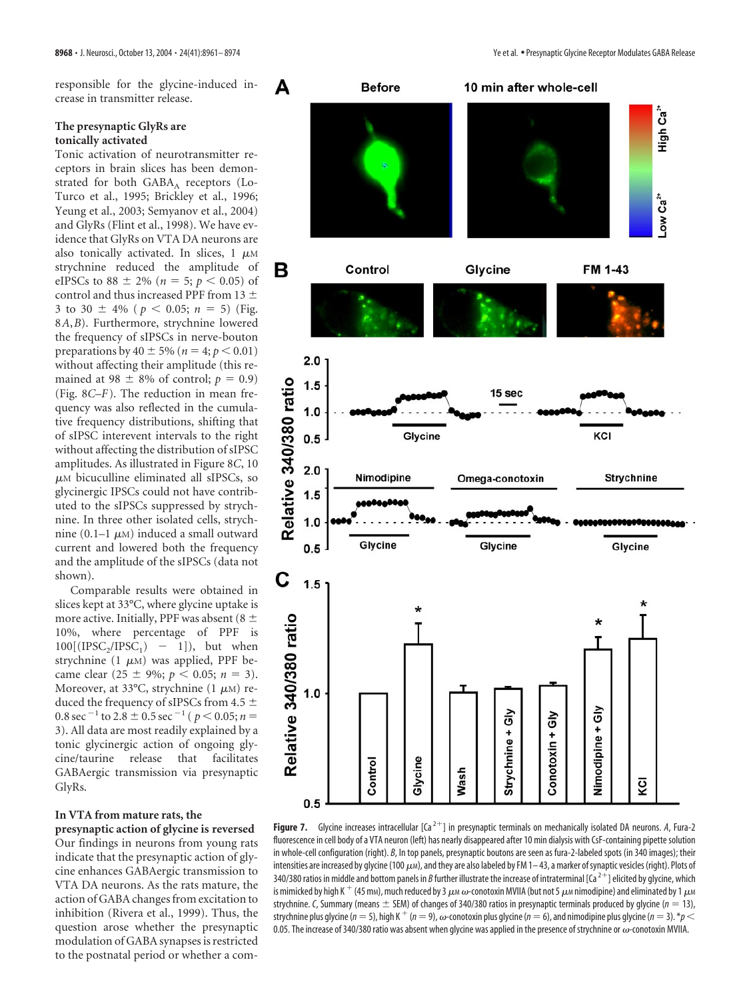responsible for the glycine-induced increase in transmitter release.

## **The presynaptic GlyRs are tonically activated**

Tonic activation of neurotransmitter receptors in brain slices has been demonstrated for both  $GABA_A$  receptors (Lo-Turco et al., 1995; Brickley et al., 1996; Yeung et al., 2003; Semyanov et al., 2004) and GlyRs (Flint et al., 1998). We have evidence that GlyRs on VTA DA neurons are also tonically activated. In slices,  $1 \mu M$ strychnine reduced the amplitude of eIPSCs to 88  $\pm$  2% (*n* = 5; *p* < 0.05) of control and thus increased PPF from 13  $\pm$ 3 to 30  $\pm$  4% ( $p < 0.05$ ;  $n = 5$ ) (Fig. 8*A*,*B*). Furthermore, strychnine lowered the frequency of sIPSCs in nerve-bouton preparations by  $40 \pm 5\%$  ( $n = 4; p < 0.01$ ) without affecting their amplitude (this remained at 98  $\pm$  8% of control;  $p = 0.9$ ) (Fig. 8*C*–*F*). The reduction in mean frequency was also reflected in the cumulative frequency distributions, shifting that of sIPSC interevent intervals to the right without affecting the distribution of sIPSC amplitudes. As illustrated in Figure 8*C*, 10  $\mu$ M bicuculline eliminated all sIPSCs, so glycinergic IPSCs could not have contributed to the sIPSCs suppressed by strychnine. In three other isolated cells, strychnine (0.1–1  $\mu$ M) induced a small outward current and lowered both the frequency and the amplitude of the sIPSCs (data not shown).

Comparable results were obtained in slices kept at 33°C, where glycine uptake is more active. Initially, PPF was absent (8  $\pm$ 10%, where percentage of PPF is  $100[(IPSC<sub>2</sub>/IPSC<sub>1</sub>) - 1]$ , but when strychnine (1  $\mu$ M) was applied, PPF became clear (25  $\pm$  9%; *p* < 0.05; *n* = 3). Moreover, at 33°C, strychnine  $(1 \mu M)$  reduced the frequency of sIPSCs from 4.5  $\pm$ 0.8 sec<sup> $-1$ </sup> to 2.8  $\pm$  0.5 sec<sup> $-1$ </sup> (  $p < 0.05; n =$ 3). All data are most readily explained by a tonic glycinergic action of ongoing glycine/taurine release that facilitates GABAergic transmission via presynaptic GlyRs.

# **In VTA from mature rats, the**

**presynaptic action of glycine is reversed** Our findings in neurons from young rats indicate that the presynaptic action of glycine enhances GABAergic transmission to VTA DA neurons. As the rats mature, the action of GABA changes from excitation to inhibition (Rivera et al., 1999). Thus, the question arose whether the presynaptic modulation of GABA synapses is restricted to the postnatal period or whether a com-



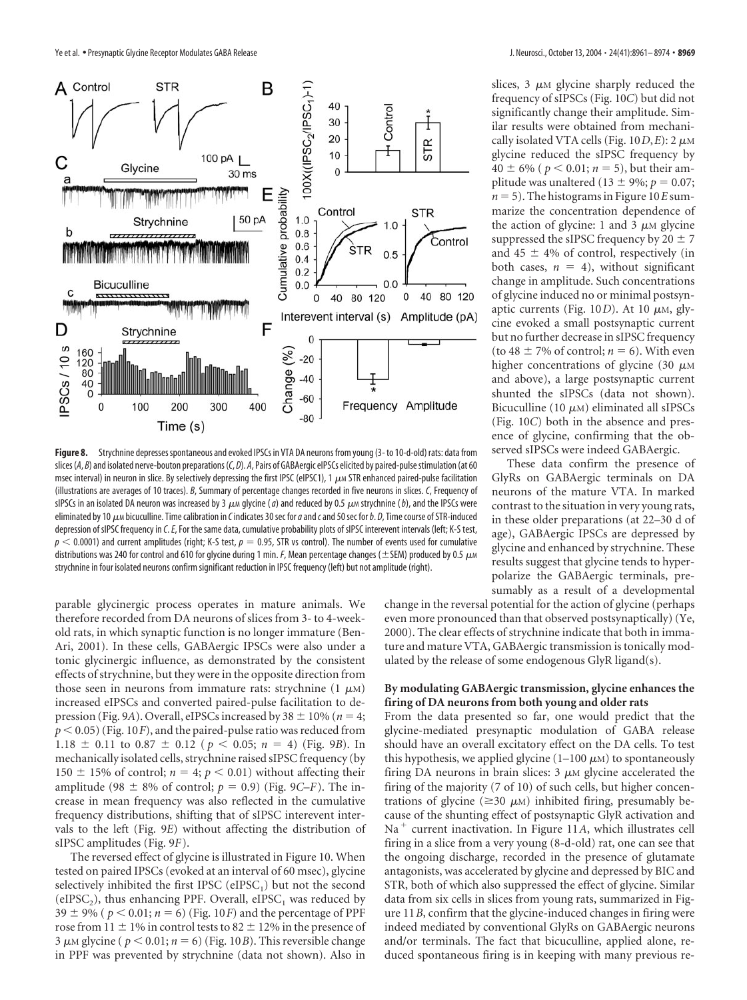

**Figure 8.** Strychnine depressesspontaneous and evoked IPSCs in VTA DA neurons from young (3- to 10-d-old) rats: data from slices (*A*, *B*) and isolated nerve-bouton preparations (*C*, *D*). *A*, Pairs of GABAergic eIPSCs elicited by paired-pulsestimulation (at 60 msec interval) in neuron in slice. By selectively depressing the first IPSC (eIPSC1), 1  $\mu$  STR enhanced paired-pulse facilitation (illustrations are averages of 10 traces). *B*, Summary of percentage changes recorded in five neurons in slices. *C*, Frequency of sIPSCs in an isolated DA neuron was increased by 3  $\mu$ <sub>M</sub> glycine (*a*) and reduced by 0.5  $\mu$ M strychnine (*b*), and the IPSCs were eliminated by 10 μM bicuculline. Time calibration in *C* indicates 30 sec for *a* and *c* and 50 sec for *b*. *D*, Time course of STR-induced depression of sIPSC frequency in *C*.*E*, For the same data, cumulative probability plots of sIPSC interevent intervals (left; K-S test,  $p < 0.0001$ ) and current amplitudes (right; K-S test,  $p = 0.95$ , STR vs control). The number of events used for cumulative distributions was 240 for control and 610 for glycine during 1 min. *F*, Mean percentage changes ( $\pm$ SEM) produced by 0.5  $\mu$ M strychnine in four isolated neurons confirm significant reduction in IPSC frequency (left) but not amplitude (right).

parable glycinergic process operates in mature animals. We therefore recorded from DA neurons of slices from 3- to 4-weekold rats, in which synaptic function is no longer immature (Ben-Ari, 2001). In these cells, GABAergic IPSCs were also under a tonic glycinergic influence, as demonstrated by the consistent effects of strychnine, but they were in the opposite direction from those seen in neurons from immature rats: strychnine  $(1 \mu M)$ increased eIPSCs and converted paired-pulse facilitation to depression (Fig. 9A). Overall, eIPSCs increased by 38  $\pm$  10% ( $n = 4$ ;  $p < 0.05$ ) (Fig. 10*F*), and the paired-pulse ratio was reduced from 1.18  $\pm$  0.11 to 0.87  $\pm$  0.12 ( $p < 0.05$ ;  $n = 4$ ) (Fig. 9*B*). In mechanically isolated cells, strychnine raised sIPSC frequency (by 150  $\pm$  15% of control;  $n = 4$ ;  $p < 0.01$ ) without affecting their amplitude (98  $\pm$  8% of control;  $p = 0.9$ ) (Fig. 9*C–F*). The increase in mean frequency was also reflected in the cumulative frequency distributions, shifting that of sIPSC interevent intervals to the left (Fig. 9*E*) without affecting the distribution of sIPSC amplitudes (Fig. 9*F*).

The reversed effect of glycine is illustrated in Figure 10. When tested on paired IPSCs (evoked at an interval of 60 msec), glycine selectively inhibited the first IPSC (eIPSC<sub>1</sub>) but not the second (eIPSC<sub>2</sub>), thus enhancing PPF. Overall, eIPSC<sub>1</sub> was reduced by 39  $\pm$  9% ( $p < 0.01$ ;  $n = 6$ ) (Fig. 10*F*) and the percentage of PPF rose from  $11 \pm 1\%$  in control tests to  $82 \pm 12\%$  in the presence of 3  $\mu$ M glycine ( $p < 0.01$ ;  $n = 6$ ) (Fig. 10*B*). This reversible change in PPF was prevented by strychnine (data not shown). Also in

slices,  $3 \mu M$  glycine sharply reduced the frequency of sIPSCs (Fig. 10*C*) but did not significantly change their amplitude. Similar results were obtained from mechanically isolated VTA cells (Fig.  $10D$ *, E*): 2  $\mu$ M glycine reduced the sIPSC frequency by  $40 \pm 6\%$  ( $p < 0.01$ ;  $n = 5$ ), but their amplitude was unaltered (13  $\pm$  9%; *p* = 0.07;  $n = 5$ ). The histograms in Figure 10*E* summarize the concentration dependence of the action of glycine: 1 and 3  $\mu$ M glycine suppressed the sIPSC frequency by  $20 \pm 7$ and 45  $\pm$  4% of control, respectively (in both cases,  $n = 4$ ), without significant change in amplitude. Such concentrations of glycine induced no or minimal postsynaptic currents (Fig.  $10D$ ). At 10  $\mu$ M, glycine evoked a small postsynaptic current but no further decrease in sIPSC frequency (to 48  $\pm$  7% of control; *n* = 6). With even higher concentrations of glycine (30  $\mu$ M) and above), a large postsynaptic current shunted the sIPSCs (data not shown). Bicuculline (10  $\mu$ M) eliminated all sIPSCs (Fig. 10*C*) both in the absence and presence of glycine, confirming that the observed sIPSCs were indeed GABAergic.

These data confirm the presence of GlyRs on GABAergic terminals on DA neurons of the mature VTA. In marked contrast to the situation in very young rats, in these older preparations (at 22–30 d of age), GABAergic IPSCs are depressed by glycine and enhanced by strychnine. These results suggest that glycine tends to hyperpolarize the GABAergic terminals, presumably as a result of a developmental

change in the reversal potential for the action of glycine (perhaps even more pronounced than that observed postsynaptically) (Ye, 2000). The clear effects of strychnine indicate that both in immature and mature VTA, GABAergic transmission is tonically modulated by the release of some endogenous GlyR ligand(s).

#### **By modulating GABAergic transmission, glycine enhances the firing of DA neurons from both young and older rats**

From the data presented so far, one would predict that the glycine-mediated presynaptic modulation of GABA release should have an overall excitatory effect on the DA cells. To test this hypothesis, we applied glycine  $(1-100 \mu)$  to spontaneously firing DA neurons in brain slices:  $3 \mu$ M glycine accelerated the firing of the majority (7 of 10) of such cells, but higher concentrations of glycine ( $\geq$ 30  $\mu$ M) inhibited firing, presumably because of the shunting effect of postsynaptic GlyR activation and  $Na<sup>+</sup>$  current inactivation. In Figure 11A, which illustrates cell firing in a slice from a very young (8-d-old) rat, one can see that the ongoing discharge, recorded in the presence of glutamate antagonists, was accelerated by glycine and depressed by BIC and STR, both of which also suppressed the effect of glycine. Similar data from six cells in slices from young rats, summarized in Figure 11*B*, confirm that the glycine-induced changes in firing were indeed mediated by conventional GlyRs on GABAergic neurons and/or terminals. The fact that bicuculline, applied alone, reduced spontaneous firing is in keeping with many previous re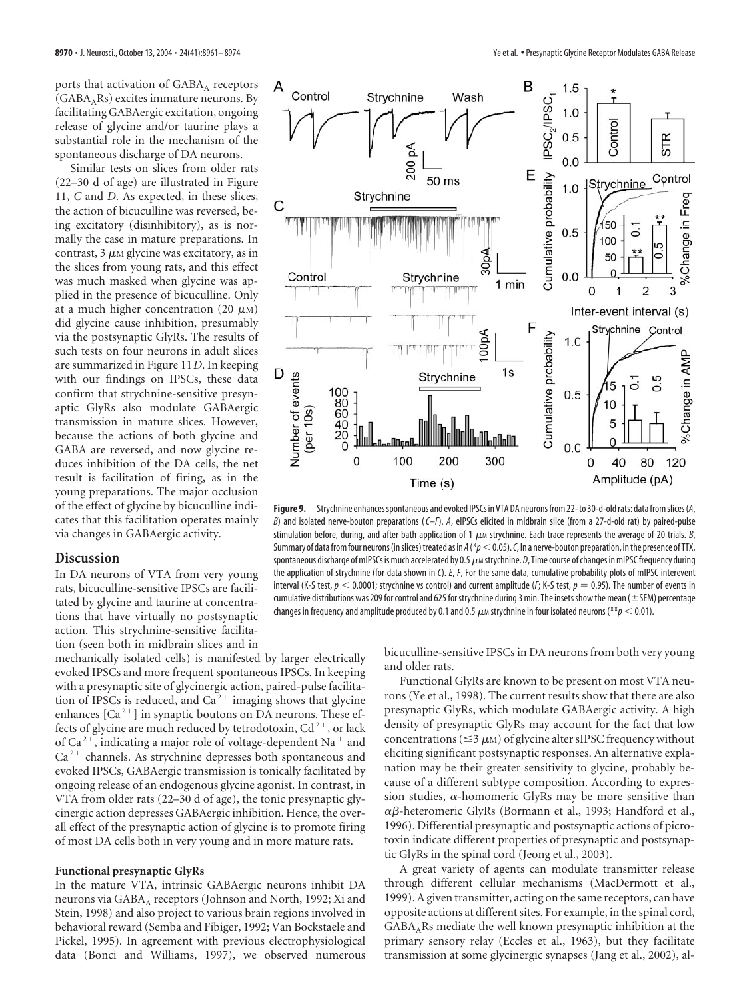ports that activation of GABA<sub>A</sub> receptors  $(GABA<sub>A</sub>Rs)$  excites immature neurons. By facilitating GABAergic excitation, ongoing release of glycine and/or taurine plays a substantial role in the mechanism of the spontaneous discharge of DA neurons.

Similar tests on slices from older rats (22–30 d of age) are illustrated in Figure 11, *C* and *D*. As expected, in these slices, the action of bicuculline was reversed, being excitatory (disinhibitory), as is normally the case in mature preparations. In contrast,  $3 \mu M$  glycine was excitatory, as in the slices from young rats, and this effect was much masked when glycine was applied in the presence of bicuculline. Only at a much higher concentration (20  $\mu$ M) did glycine cause inhibition, presumably via the postsynaptic GlyRs. The results of such tests on four neurons in adult slices are summarized in Figure 11*D*. In keeping with our findings on IPSCs, these data confirm that strychnine-sensitive presynaptic GlyRs also modulate GABAergic transmission in mature slices. However, because the actions of both glycine and GABA are reversed, and now glycine reduces inhibition of the DA cells, the net result is facilitation of firing, as in the young preparations. The major occlusion of the effect of glycine by bicuculline indicates that this facilitation operates mainly via changes in GABAergic activity.

## **Discussion**

In DA neurons of VTA from very young rats, bicuculline-sensitive IPSCs are facilitated by glycine and taurine at concentrations that have virtually no postsynaptic action. This strychnine-sensitive facilitation (seen both in midbrain slices and in

mechanically isolated cells) is manifested by larger electrically evoked IPSCs and more frequent spontaneous IPSCs. In keeping with a presynaptic site of glycinergic action, paired-pulse facilitation of IPSCs is reduced, and  $Ca^{2+}$  imaging shows that glycine enhances  $[Ca^{2+}]$  in synaptic boutons on DA neurons. These effects of glycine are much reduced by tetrodotoxin,  $Cd^{2+}$ , or lack of Ca<sup>2+</sup>, indicating a major role of voltage-dependent Na<sup>+</sup> and  $Ca<sup>2+</sup>$  channels. As strychnine depresses both spontaneous and evoked IPSCs, GABAergic transmission is tonically facilitated by ongoing release of an endogenous glycine agonist. In contrast, in VTA from older rats (22–30 d of age), the tonic presynaptic glycinergic action depresses GABAergic inhibition. Hence, the overall effect of the presynaptic action of glycine is to promote firing of most DA cells both in very young and in more mature rats.

## **Functional presynaptic GlyRs**

In the mature VTA, intrinsic GABAergic neurons inhibit DA neurons via GABA<sub>A</sub> receptors (Johnson and North, 1992; Xi and Stein, 1998) and also project to various brain regions involved in behavioral reward (Semba and Fibiger, 1992; Van Bockstaele and Pickel, 1995). In agreement with previous electrophysiological data (Bonci and Williams, 1997), we observed numerous



**Figure 9.** Strychnine enhancesspontaneous and evoked IPSCs in VTA DA neurons from 22-to 30-d-oldrats: data fromslices(*A*, *B*) and isolated nerve-bouton preparations (*C–F*). *A*, eIPSCs elicited in midbrain slice (from a 27-d-old rat) by paired-pulse stimulation before, during, and after bath application of 1  $\mu$ M strychnine. Each trace represents the average of 20 trials. *B*, Summary of data from four neurons (in slices) treated as in *A* (\**p* < 0.05). *C*, In a nerve-bouton preparation, in the presence of TTX, spontaneous discharge of mIPSCs is much accelerated by 0.5  $\mu$  strychnine. *D*, Time course of changes in mIPSC frequency during the application of strychnine (for data shown in *C*). *E*, *F*, For the same data, cumulative probability plots of mIPSC interevent interval (K-S test,  $p < 0.0001$ ; strychnine vs control) and current amplitude (*F*; K-S test,  $p = 0.95$ ). The number of events in cumulative distributions was 209 for control and 625 for strychnine during 3 min. The insets show the mean ( $\pm$ SEM) percentage changes in frequency and amplitude produced by 0.1 and 0.5  $\mu$ *m* strychnine in four isolated neurons (\*\* $p$  < 0.01).

bicuculline-sensitive IPSCs in DA neurons from both very young and older rats.

Functional GlyRs are known to be present on most VTA neurons (Ye et al., 1998). The current results show that there are also presynaptic GlyRs, which modulate GABAergic activity. A high density of presynaptic GlyRs may account for the fact that low concentrations ( $\leq$ 3  $\mu$ M) of glycine alter sIPSC frequency without eliciting significant postsynaptic responses. An alternative explanation may be their greater sensitivity to glycine, probably because of a different subtype composition. According to expression studies,  $\alpha$ -homomeric GlyRs may be more sensitive than  $\alpha\beta$ -heteromeric GlyRs (Bormann et al., 1993; Handford et al., 1996). Differential presynaptic and postsynaptic actions of picrotoxin indicate different properties of presynaptic and postsynaptic GlyRs in the spinal cord (Jeong et al., 2003).

A great variety of agents can modulate transmitter release through different cellular mechanisms (MacDermott et al., 1999). A given transmitter, acting on the same receptors, can have opposite actions at different sites. For example, in the spinal cord, GABAARs mediate the well known presynaptic inhibition at the primary sensory relay (Eccles et al., 1963), but they facilitate transmission at some glycinergic synapses (Jang et al., 2002), al-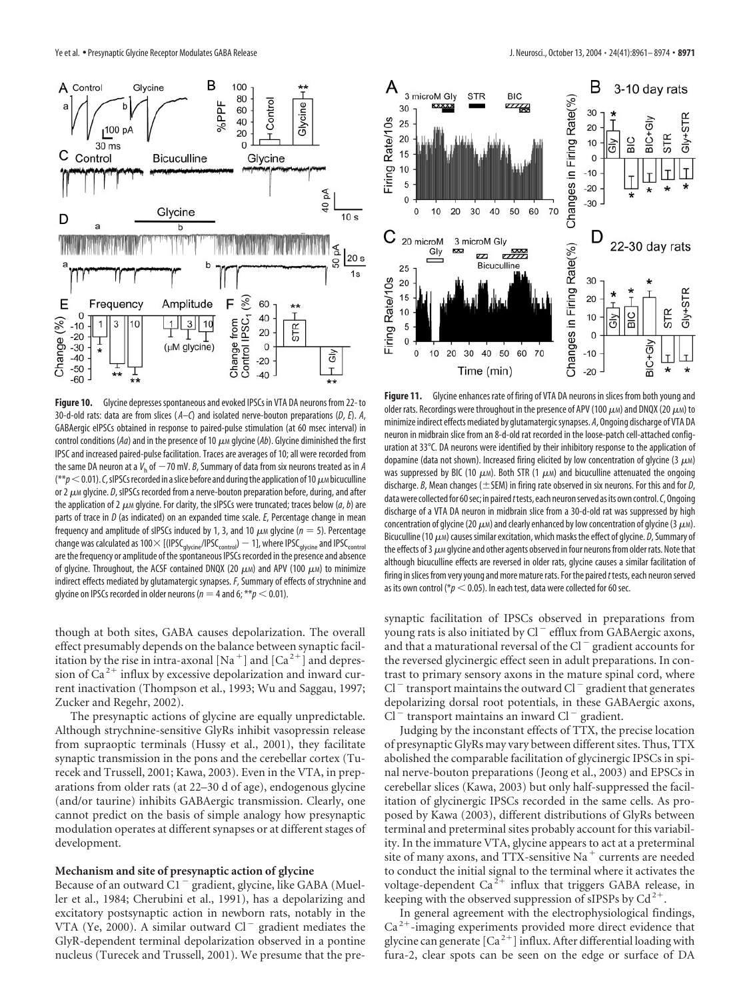

Figure 10. Glycine depresses spontaneous and evoked IPSCs in VTA DA neurons from 22- to 30-d-old rats: data are from slices ( *A–C*) and isolated nerve-bouton preparations (*D*, *E*). *A*, GABAergic eIPSCs obtained in response to paired-pulse stimulation (at 60 msec interval) in control conditions ( $Aa$ ) and in the presence of 10  $\mu$ <sub>M</sub> glycine ( $Ab$ ). Glycine diminished the first IPSC and increased paired-pulse facilitation. Traces are averages of 10; all were recorded from the same DA neuron at a  $V_{\rm h}$  of  $-70$  mV. *B*, Summary of data from six neurons treated as in *A*  $(**p<0.01)$ . C, sIPSCs recorded in a slice before and during the application of 10  $\mu$ M bicuculline or 2 μ*M* glycine. *D*, sIPSCs recorded from a nerve-bouton preparation before, during, and after the application of 2  $\mu$  glycine. For clarity, the sIPSCs were truncated; traces below (*a*, *b*) are parts of trace in *D* (as indicated) on an expanded time scale. *E*, Percentage change in mean frequency and amplitude of sIPSCs induced by 1, 3, and 10  $\mu$ <sub>M</sub> glycine ( $n = 5$ ). Percentage change was calculated as 100  $\times$  [(IPSC<sub>glycine</sub>/IPSC<sub>control</sub>)  $-$  1], where IPSC<sub>glycine</sub> and IPSC<sub>control</sub> are the frequency or amplitude of the spontaneous IPSCs recorded in the presence and absence of glycine. Throughout, the ACSF contained DNQX (20  $\mu$ M) and APV (100  $\mu$ M) to minimize indirect effects mediated by glutamatergic synapses. *F*, Summary of effects of strychnine and glycine on IPSCs recorded in older neurons ( $n = 4$  and 6; \*\* $p < 0.01$ ).

though at both sites, GABA causes depolarization. The overall effect presumably depends on the balance between synaptic facilitation by the rise in intra-axonal [Na<sup>+</sup>] and [Ca<sup>2+</sup>] and depression of  $Ca^{2+}$  influx by excessive depolarization and inward current inactivation (Thompson et al., 1993; Wu and Saggau, 1997; Zucker and Regehr, 2002).

The presynaptic actions of glycine are equally unpredictable. Although strychnine-sensitive GlyRs inhibit vasopressin release from supraoptic terminals (Hussy et al., 2001), they facilitate synaptic transmission in the pons and the cerebellar cortex (Turecek and Trussell, 2001; Kawa, 2003). Even in the VTA, in preparations from older rats (at 22–30 d of age), endogenous glycine (and/or taurine) inhibits GABAergic transmission. Clearly, one cannot predict on the basis of simple analogy how presynaptic modulation operates at different synapses or at different stages of development.

### **Mechanism and site of presynaptic action of glycine**

Because of an outward  $\tilde{C}1^-$  gradient, glycine, like GABA (Mueller et al., 1984; Cherubini et al., 1991), has a depolarizing and excitatory postsynaptic action in newborn rats, notably in the VTA (Ye, 2000). A similar outward  $Cl^-$  gradient mediates the GlyR-dependent terminal depolarization observed in a pontine nucleus (Turecek and Trussell, 2001). We presume that the pre-



**Figure 11.** Glycine enhances rate of firing of VTA DA neurons in slices from both young and older rats. Recordings were throughout in the presence of APV (100  $\mu$ M) and DNQX (20  $\mu$ M) to minimize indirect effects mediated by glutamatergicsynapses. *A*, Ongoing discharge of VTA DA neuron in midbrain slice from an 8-d-old rat recorded in the loose-patch cell-attached configuration at 33°C. DA neurons were identified by their inhibitory response to the application of dopamine (data not shown). Increased firing elicited by low concentration of glycine (3  $\mu$ M) was suppressed by BIC (10  $\mu$ m). Both STR (1  $\mu$ m) and bicuculline attenuated the ongoing discharge. *B*, Mean changes ( $\pm$  SEM) in firing rate observed in six neurons. For this and for *D*, data were collected for 60 sec; in paired *t* tests, each neuron served as its own control. *C*, Ongoing discharge of a VTA DA neuron in midbrain slice from a 30-d-old rat was suppressed by high concentration of glycine (20  $\mu$ m) and clearly enhanced by low concentration of glycine (3  $\mu$ m). Bicuculline (10  $\mu$ <sub>M</sub>) causes similar excitation, which masks the effect of glycine. *D*, Summary of the effects of 3  $\mu$  glycine and other agents observed in four neurons from older rats. Note that although bicuculline effects are reversed in older rats, glycine causes a similar facilitation of firing in slices from very young and more mature rats. For the paired *t* tests, each neuron served as its own control ( $p < 0.05$ ). In each test, data were collected for 60 sec.

synaptic facilitation of IPSCs observed in preparations from young rats is also initiated by Cl<sup>-</sup> efflux from GABAergic axons, and that a maturational reversal of the Cl $^-$  gradient accounts for the reversed glycinergic effect seen in adult preparations. In contrast to primary sensory axons in the mature spinal cord, where  $Cl^{-}$  transport maintains the outward  $Cl^{-}$  gradient that generates depolarizing dorsal root potentials, in these GABAergic axons,  $Cl^{-}$  transport maintains an inward  $Cl^{-}$  gradient.

Judging by the inconstant effects of TTX, the precise location of presynaptic GlyRs may vary between different sites. Thus, TTX abolished the comparable facilitation of glycinergic IPSCs in spinal nerve-bouton preparations (Jeong et al., 2003) and EPSCs in cerebellar slices (Kawa, 2003) but only half-suppressed the facilitation of glycinergic IPSCs recorded in the same cells. As proposed by Kawa (2003), different distributions of GlyRs between terminal and preterminal sites probably account for this variability. In the immature VTA, glycine appears to act at a preterminal site of many axons, and TTX-sensitive Na<sup> $+$ </sup> currents are needed to conduct the initial signal to the terminal where it activates the voltage-dependent Ca<sup> $2+$ </sup> influx that triggers GABA release, in keeping with the observed suppression of sIPSPs by  $Cd^{2+}$ .

In general agreement with the electrophysiological findings,  $Ca<sup>2+</sup>$ -imaging experiments provided more direct evidence that glycine can generate  $\left[Ca^{2+}\right]$  influx. After differential loading with fura-2, clear spots can be seen on the edge or surface of DA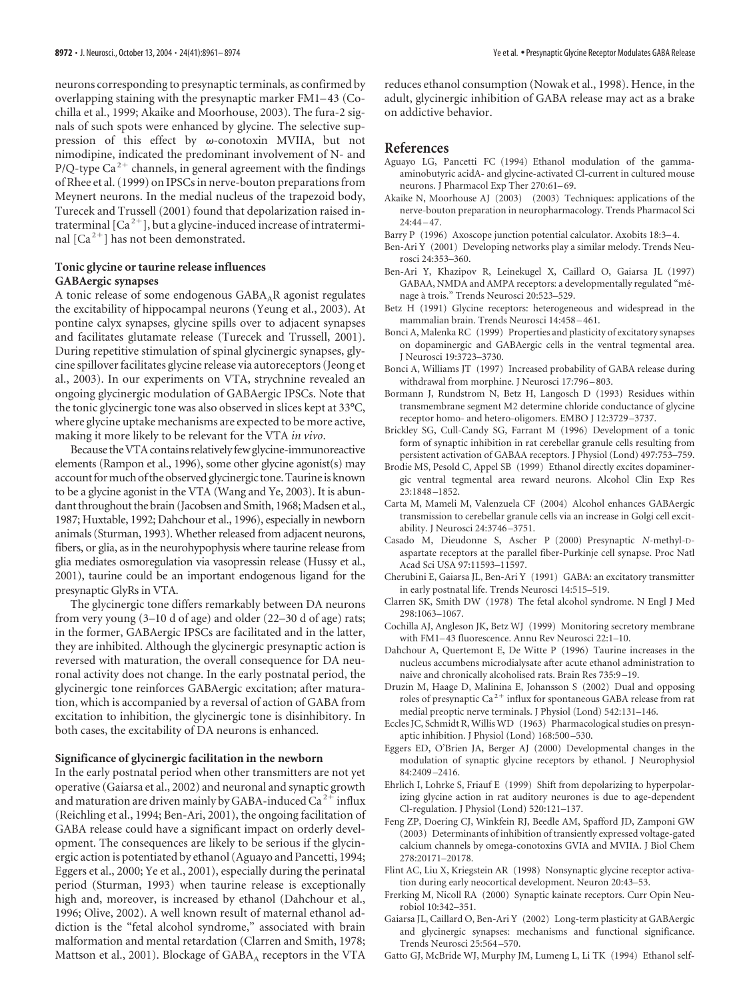neurons corresponding to presynaptic terminals, as confirmed by overlapping staining with the presynaptic marker FM1–43 (Cochilla et al., 1999; Akaike and Moorhouse, 2003). The fura-2 signals of such spots were enhanced by glycine. The selective suppression of this effect by  $\omega$ -conotoxin MVIIA, but not nimodipine, indicated the predominant involvement of N- and P/Q-type Ca<sup>2+</sup> channels, in general agreement with the findings of Rhee et al. (1999) on IPSCs in nerve-bouton preparations from Meynert neurons. In the medial nucleus of the trapezoid body, Turecek and Trussell (2001) found that depolarization raised intraterminal  $\left[Ca^{2+}\right]$ , but a glycine-induced increase of intraterminal  $\lceil Ca^{2+} \rceil$  has not been demonstrated.

### **Tonic glycine or taurine release influences GABAergic synapses**

A tonic release of some endogenous  $GABA_AR$  agonist regulates the excitability of hippocampal neurons (Yeung et al., 2003). At pontine calyx synapses, glycine spills over to adjacent synapses and facilitates glutamate release (Turecek and Trussell, 2001). During repetitive stimulation of spinal glycinergic synapses, glycine spillover facilitates glycine release via autoreceptors (Jeong et al., 2003). In our experiments on VTA, strychnine revealed an ongoing glycinergic modulation of GABAergic IPSCs. Note that the tonic glycinergic tone was also observed in slices kept at 33°C, where glycine uptake mechanisms are expected to be more active, making it more likely to be relevant for the VTA *in vivo*.

Because the VTA contains relatively few glycine-immunoreactive elements (Rampon et al., 1996), some other glycine agonist(s) may account for much of the observed glycinergic tone. Taurine is known to be a glycine agonist in the VTA (Wang and Ye, 2003). It is abundant throughout the brain (Jacobsen and Smith, 1968; Madsen et al., 1987; Huxtable, 1992; Dahchour et al., 1996), especially in newborn animals (Sturman, 1993). Whether released from adjacent neurons, fibers, or glia, as in the neurohypophysis where taurine release from glia mediates osmoregulation via vasopressin release (Hussy et al., 2001), taurine could be an important endogenous ligand for the presynaptic GlyRs in VTA.

The glycinergic tone differs remarkably between DA neurons from very young (3–10 d of age) and older (22–30 d of age) rats; in the former, GABAergic IPSCs are facilitated and in the latter, they are inhibited. Although the glycinergic presynaptic action is reversed with maturation, the overall consequence for DA neuronal activity does not change. In the early postnatal period, the glycinergic tone reinforces GABAergic excitation; after maturation, which is accompanied by a reversal of action of GABA from excitation to inhibition, the glycinergic tone is disinhibitory. In both cases, the excitability of DA neurons is enhanced.

#### **Significance of glycinergic facilitation in the newborn**

In the early postnatal period when other transmitters are not yet operative (Gaiarsa et al., 2002) and neuronal and synaptic growth and maturation are driven mainly by GABA-induced  $Ca^{2+}$  influx (Reichling et al., 1994; Ben-Ari, 2001), the ongoing facilitation of GABA release could have a significant impact on orderly development. The consequences are likely to be serious if the glycinergic action is potentiated by ethanol (Aguayo and Pancetti, 1994; Eggers et al., 2000; Ye et al., 2001), especially during the perinatal period (Sturman, 1993) when taurine release is exceptionally high and, moreover, is increased by ethanol (Dahchour et al., 1996; Olive, 2002). A well known result of maternal ethanol addiction is the "fetal alcohol syndrome," associated with brain malformation and mental retardation (Clarren and Smith, 1978; Mattson et al., 2001). Blockage of  $GABA_A$  receptors in the VTA

reduces ethanol consumption (Nowak et al., 1998). Hence, in the adult, glycinergic inhibition of GABA release may act as a brake on addictive behavior.

## **References**

- Aguayo LG, Pancetti FC (1994) Ethanol modulation of the gammaaminobutyric acidA- and glycine-activated Cl-current in cultured mouse neurons. J Pharmacol Exp Ther 270:61–69.
- Akaike N, Moorhouse AJ (2003) (2003) Techniques: applications of the nerve-bouton preparation in neuropharmacology. Trends Pharmacol Sci  $24:44 - 47.$
- Barry P (1996) Axoscope junction potential calculator. Axobits 18:3–4.
- Ben-Ari Y (2001) Developing networks play a similar melody. Trends Neurosci 24:353–360.
- Ben-Ari Y, Khazipov R, Leinekugel X, Caillard O, Gaiarsa JL (1997) GABAA, NMDA and AMPA receptors: a developmentally regulated "ménage à trois." Trends Neurosci 20:523-529.
- Betz H (1991) Glycine receptors: heterogeneous and widespread in the mammalian brain. Trends Neurosci 14:458 –461.
- Bonci A, Malenka RC (1999) Properties and plasticity of excitatory synapses on dopaminergic and GABAergic cells in the ventral tegmental area. J Neurosci 19:3723–3730.
- Bonci A, Williams JT (1997) Increased probability of GABA release during withdrawal from morphine. J Neurosci 17:796 –803.
- Bormann J, Rundstrom N, Betz H, Langosch D (1993) Residues within transmembrane segment M2 determine chloride conductance of glycine receptor homo- and hetero-oligomers. EMBO J 12:3729 –3737.
- Brickley SG, Cull-Candy SG, Farrant M (1996) Development of a tonic form of synaptic inhibition in rat cerebellar granule cells resulting from persistent activation of GABAA receptors. J Physiol (Lond) 497:753–759.
- Brodie MS, Pesold C, Appel SB (1999) Ethanol directly excites dopaminergic ventral tegmental area reward neurons. Alcohol Clin Exp Res 23:1848 –1852.
- Carta M, Mameli M, Valenzuela CF (2004) Alcohol enhances GABAergic transmission to cerebellar granule cells via an increase in Golgi cell excitability. J Neurosci 24:3746 –3751.
- Casado M, Dieudonne S, Ascher P (2000) Presynaptic *N*-methyl-Daspartate receptors at the parallel fiber-Purkinje cell synapse. Proc Natl Acad Sci USA 97:11593–11597.
- Cherubini E, Gaiarsa JL, Ben-Ari Y (1991) GABA: an excitatory transmitter in early postnatal life. Trends Neurosci 14:515–519.
- Clarren SK, Smith DW (1978) The fetal alcohol syndrome. N Engl J Med 298:1063–1067.
- Cochilla AJ, Angleson JK, Betz WJ (1999) Monitoring secretory membrane with FM1–43 fluorescence. Annu Rev Neurosci 22:1–10.
- Dahchour A, Quertemont E, De Witte P (1996) Taurine increases in the nucleus accumbens microdialysate after acute ethanol administration to naive and chronically alcoholised rats. Brain Res 735:9 –19.
- Druzin M, Haage D, Malinina E, Johansson S (2002) Dual and opposing roles of presynaptic Ca<sup>2+</sup> influx for spontaneous GABA release from rat medial preoptic nerve terminals. J Physiol (Lond) 542:131–146.
- Eccles JC, Schmidt R, Willis WD (1963) Pharmacological studies on presynaptic inhibition. J Physiol (Lond) 168:500 –530.
- Eggers ED, O'Brien JA, Berger AJ (2000) Developmental changes in the modulation of synaptic glycine receptors by ethanol. J Neurophysiol 84:2409 –2416.
- Ehrlich I, Lohrke S, Friauf E (1999) Shift from depolarizing to hyperpolarizing glycine action in rat auditory neurones is due to age-dependent Cl-regulation. J Physiol (Lond) 520:121–137.
- Feng ZP, Doering CJ, Winkfein RJ, Beedle AM, Spafford JD, Zamponi GW (2003) Determinants of inhibition of transiently expressed voltage-gated calcium channels by omega-conotoxins GVIA and MVIIA. J Biol Chem 278:20171–20178.
- Flint AC, Liu X, Kriegstein AR (1998) Nonsynaptic glycine receptor activation during early neocortical development. Neuron 20:43–53.
- Frerking M, Nicoll RA (2000) Synaptic kainate receptors. Curr Opin Neurobiol 10:342–351.
- Gaiarsa JL, Caillard O, Ben-Ari Y (2002) Long-term plasticity at GABAergic and glycinergic synapses: mechanisms and functional significance. Trends Neurosci 25:564 –570.
- Gatto GJ, McBride WJ, Murphy JM, Lumeng L, Li TK (1994) Ethanol self-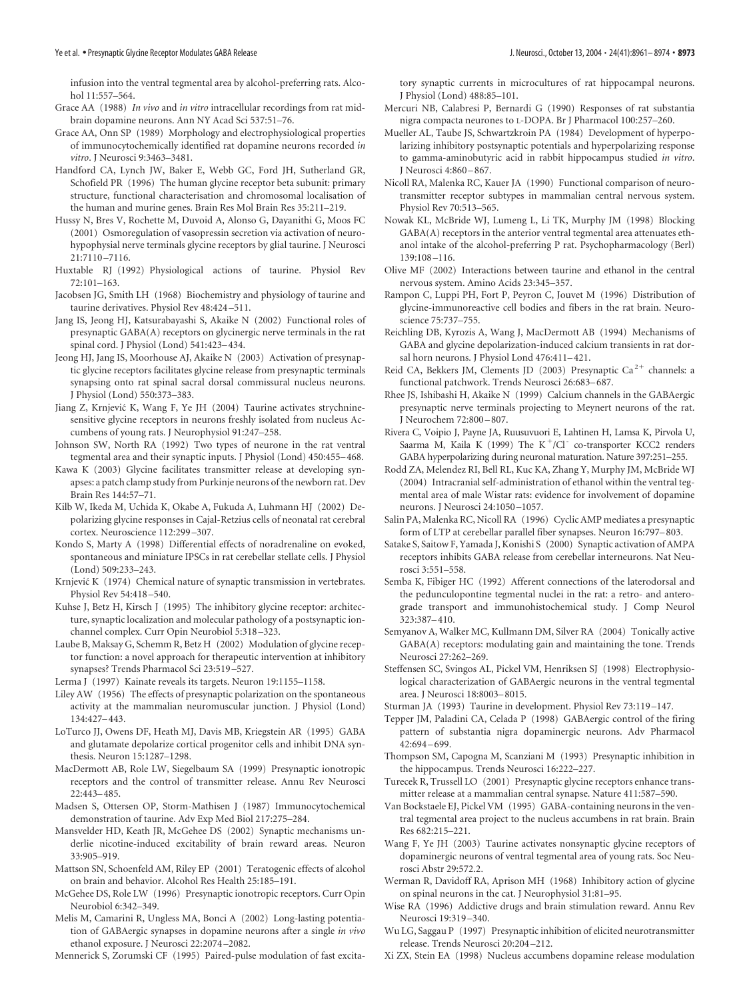infusion into the ventral tegmental area by alcohol-preferring rats. Alcohol 11:557–564.

- Grace AA (1988) *In vivo* and *in vitro* intracellular recordings from rat midbrain dopamine neurons. Ann NY Acad Sci 537:51–76.
- Grace AA, Onn SP (1989) Morphology and electrophysiological properties of immunocytochemically identified rat dopamine neurons recorded *in vitro*. J Neurosci 9:3463–3481.
- Handford CA, Lynch JW, Baker E, Webb GC, Ford JH, Sutherland GR, Schofield PR (1996) The human glycine receptor beta subunit: primary structure, functional characterisation and chromosomal localisation of the human and murine genes. Brain Res Mol Brain Res 35:211–219.
- Hussy N, Bres V, Rochette M, Duvoid A, Alonso G, Dayanithi G, Moos FC (2001) Osmoregulation of vasopressin secretion via activation of neurohypophysial nerve terminals glycine receptors by glial taurine. J Neurosci 21:7110 –7116.
- Huxtable RJ (1992) Physiological actions of taurine. Physiol Rev 72:101–163.
- Jacobsen JG, Smith LH (1968) Biochemistry and physiology of taurine and taurine derivatives. Physiol Rev 48:424 –511.
- Jang IS, Jeong HJ, Katsurabayashi S, Akaike N (2002) Functional roles of presynaptic GABA(A) receptors on glycinergic nerve terminals in the rat spinal cord. J Physiol (Lond) 541:423–434.
- Jeong HJ, Jang IS, Moorhouse AJ, Akaike N (2003) Activation of presynaptic glycine receptors facilitates glycine release from presynaptic terminals synapsing onto rat spinal sacral dorsal commissural nucleus neurons. J Physiol (Lond) 550:373–383.
- Jiang Z, Krnjević K, Wang F, Ye JH (2004) Taurine activates strychninesensitive glycine receptors in neurons freshly isolated from nucleus Accumbens of young rats. J Neurophysiol 91:247–258.
- Johnson SW, North RA (1992) Two types of neurone in the rat ventral tegmental area and their synaptic inputs. J Physiol (Lond) 450:455–468.
- Kawa K (2003) Glycine facilitates transmitter release at developing synapses: a patch clamp study from Purkinje neurons of the newborn rat. Dev Brain Res 144:57–71.
- Kilb W, Ikeda M, Uchida K, Okabe A, Fukuda A, Luhmann HJ (2002) Depolarizing glycine responses in Cajal-Retzius cells of neonatal rat cerebral cortex. Neuroscience 112:299 –307.
- Kondo S, Marty A (1998) Differential effects of noradrenaline on evoked, spontaneous and miniature IPSCs in rat cerebellar stellate cells. J Physiol (Lond) 509:233–243.
- Krnjević K (1974) Chemical nature of synaptic transmission in vertebrates. Physiol Rev 54:418 –540.
- Kuhse J, Betz H, Kirsch J (1995) The inhibitory glycine receptor: architecture, synaptic localization and molecular pathology of a postsynaptic ionchannel complex. Curr Opin Neurobiol 5:318 –323.
- Laube B, Maksay G, Schemm R, Betz H (2002) Modulation of glycine receptor function: a novel approach for therapeutic intervention at inhibitory synapses? Trends Pharmacol Sci 23:519 –527.
- Lerma J (1997) Kainate reveals its targets. Neuron 19:1155–1158.
- Liley AW (1956) The effects of presynaptic polarization on the spontaneous activity at the mammalian neuromuscular junction. J Physiol (Lond) 134:427–443.
- LoTurco JJ, Owens DF, Heath MJ, Davis MB, Kriegstein AR (1995) GABA and glutamate depolarize cortical progenitor cells and inhibit DNA synthesis. Neuron 15:1287–1298.
- MacDermott AB, Role LW, Siegelbaum SA (1999) Presynaptic ionotropic receptors and the control of transmitter release. Annu Rev Neurosci 22:443–485.
- Madsen S, Ottersen OP, Storm-Mathisen J (1987) Immunocytochemical demonstration of taurine. Adv Exp Med Biol 217:275–284.
- Mansvelder HD, Keath JR, McGehee DS (2002) Synaptic mechanisms underlie nicotine-induced excitability of brain reward areas. Neuron 33:905–919.
- Mattson SN, Schoenfeld AM, Riley EP (2001) Teratogenic effects of alcohol on brain and behavior. Alcohol Res Health 25:185–191.
- McGehee DS, Role LW (1996) Presynaptic ionotropic receptors. Curr Opin Neurobiol 6:342–349.
- Melis M, Camarini R, Ungless MA, Bonci A (2002) Long-lasting potentiation of GABAergic synapses in dopamine neurons after a single *in vivo* ethanol exposure. J Neurosci 22:2074 –2082.
- Mennerick S, Zorumski CF (1995) Paired-pulse modulation of fast excita-

tory synaptic currents in microcultures of rat hippocampal neurons. J Physiol (Lond) 488:85–101.

- Mercuri NB, Calabresi P, Bernardi G (1990) Responses of rat substantia nigra compacta neurones to L-DOPA. Br J Pharmacol 100:257–260.
- Mueller AL, Taube JS, Schwartzkroin PA (1984) Development of hyperpolarizing inhibitory postsynaptic potentials and hyperpolarizing response to gamma-aminobutyric acid in rabbit hippocampus studied *in vitro*. J Neurosci 4:860 –867.
- Nicoll RA, Malenka RC, Kauer JA (1990) Functional comparison of neurotransmitter receptor subtypes in mammalian central nervous system. Physiol Rev 70:513–565.
- Nowak KL, McBride WJ, Lumeng L, Li TK, Murphy JM (1998) Blocking GABA(A) receptors in the anterior ventral tegmental area attenuates ethanol intake of the alcohol-preferring P rat. Psychopharmacology (Berl) 139:108 –116.
- Olive MF (2002) Interactions between taurine and ethanol in the central nervous system. Amino Acids 23:345–357.
- Rampon C, Luppi PH, Fort P, Peyron C, Jouvet M (1996) Distribution of glycine-immunoreactive cell bodies and fibers in the rat brain. Neuroscience 75:737–755.
- Reichling DB, Kyrozis A, Wang J, MacDermott AB (1994) Mechanisms of GABA and glycine depolarization-induced calcium transients in rat dorsal horn neurons. J Physiol Lond 476:411–421.
- Reid CA, Bekkers JM, Clements JD (2003) Presynaptic Ca<sup>2+</sup> channels: a functional patchwork. Trends Neurosci 26:683–687.
- Rhee JS, Ishibashi H, Akaike N (1999) Calcium channels in the GABAergic presynaptic nerve terminals projecting to Meynert neurons of the rat. J Neurochem 72:800 –807.
- Rivera C, Voipio J, Payne JA, Ruusuvuori E, Lahtinen H, Lamsa K, Pirvola U, Saarma M, Kaila K (1999) The  $K^+/Cl^-$  co-transporter KCC2 renders GABA hyperpolarizing during neuronal maturation. Nature 397:251–255.
- Rodd ZA, Melendez RI, Bell RL, Kuc KA, Zhang Y, Murphy JM, McBride WJ (2004) Intracranial self-administration of ethanol within the ventral tegmental area of male Wistar rats: evidence for involvement of dopamine neurons. J Neurosci 24:1050 –1057.
- Salin PA, Malenka RC, Nicoll RA (1996) Cyclic AMP mediates a presynaptic form of LTP at cerebellar parallel fiber synapses. Neuron 16:797–803.
- Satake S, Saitow F, Yamada J, Konishi S (2000) Synaptic activation of AMPA receptors inhibits GABA release from cerebellar interneurons. Nat Neurosci 3:551–558.
- Semba K, Fibiger HC (1992) Afferent connections of the laterodorsal and the pedunculopontine tegmental nuclei in the rat: a retro- and anterograde transport and immunohistochemical study. J Comp Neurol 323:387–410.
- Semyanov A, Walker MC, Kullmann DM, Silver RA (2004) Tonically active GABA(A) receptors: modulating gain and maintaining the tone. Trends Neurosci 27:262–269.
- Steffensen SC, Svingos AL, Pickel VM, Henriksen SJ (1998) Electrophysiological characterization of GABAergic neurons in the ventral tegmental area. J Neurosci 18:8003–8015.
- Sturman JA (1993) Taurine in development. Physiol Rev 73:119 –147.
- Tepper JM, Paladini CA, Celada P (1998) GABAergic control of the firing pattern of substantia nigra dopaminergic neurons. Adv Pharmacol 42:694 –699.
- Thompson SM, Capogna M, Scanziani M (1993) Presynaptic inhibition in the hippocampus. Trends Neurosci 16:222–227.
- Turecek R, Trussell LO (2001) Presynaptic glycine receptors enhance transmitter release at a mammalian central synapse. Nature 411:587–590.
- Van Bockstaele EJ, Pickel VM (1995) GABA-containing neurons in the ventral tegmental area project to the nucleus accumbens in rat brain. Brain Res 682:215–221.
- Wang F, Ye JH (2003) Taurine activates nonsynaptic glycine receptors of dopaminergic neurons of ventral tegmental area of young rats. Soc Neurosci Abstr 29:572.2.
- Werman R, Davidoff RA, Aprison MH (1968) Inhibitory action of glycine on spinal neurons in the cat. J Neurophysiol 31:81–95.
- Wise RA (1996) Addictive drugs and brain stimulation reward. Annu Rev Neurosci 19:319 –340.
- Wu LG, Saggau P (1997) Presynaptic inhibition of elicited neurotransmitter release. Trends Neurosci 20:204 –212.
- Xi ZX, Stein EA (1998) Nucleus accumbens dopamine release modulation